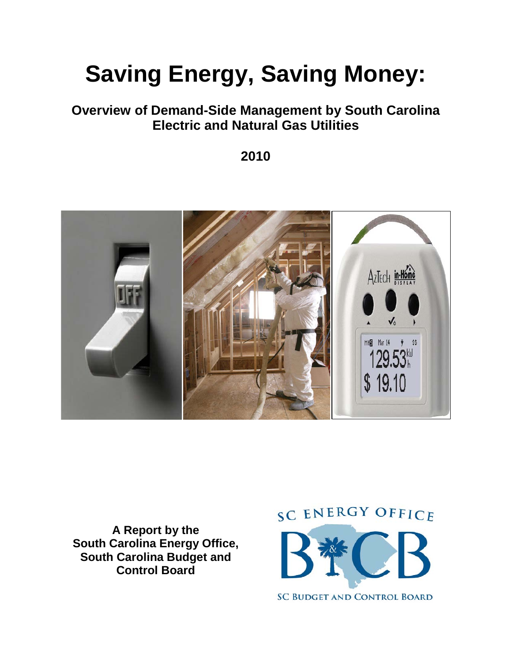# **Saving Energy, Saving Money:**

# **Overview of Demand-Side Management by South Carolina Electric and Natural Gas Utilities**

**2010**



**A Report by the South Carolina Energy Office, South Carolina Budget and Control Board**

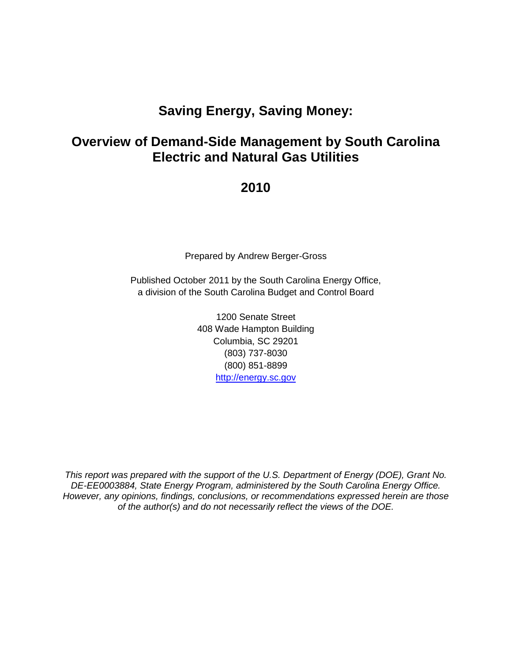# **Saving Energy, Saving Money:**

# **Overview of Demand-Side Management by South Carolina Electric and Natural Gas Utilities**

## **2010**

Prepared by Andrew Berger-Gross

Published October 2011 by the South Carolina Energy Office, a division of the South Carolina Budget and Control Board

> 1200 Senate Street 408 Wade Hampton Building Columbia, SC 29201 (803) 737-8030 (800) 851-8899 [http://energy.sc.gov](http://energy.sc.gov/)

*This report was prepared with the support of the U.S. Department of Energy (DOE), Grant No. DE-EE0003884, State Energy Program, administered by the South Carolina Energy Office. However, any opinions, findings, conclusions, or recommendations expressed herein are those of the author(s) and do not necessarily reflect the views of the DOE.*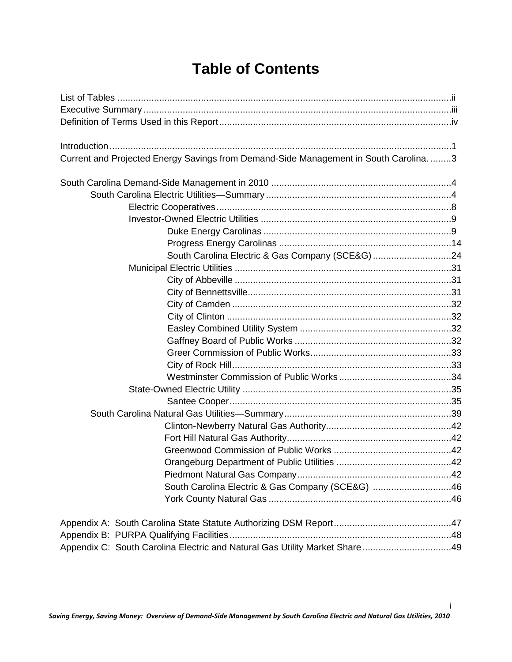# **Table of Contents**

| Current and Projected Energy Savings from Demand-Side Management in South Carolina. 3 |  |
|---------------------------------------------------------------------------------------|--|
|                                                                                       |  |
|                                                                                       |  |
|                                                                                       |  |
|                                                                                       |  |
|                                                                                       |  |
|                                                                                       |  |
| South Carolina Electric & Gas Company (SCE&G) 24                                      |  |
|                                                                                       |  |
|                                                                                       |  |
|                                                                                       |  |
|                                                                                       |  |
|                                                                                       |  |
|                                                                                       |  |
|                                                                                       |  |
|                                                                                       |  |
|                                                                                       |  |
|                                                                                       |  |
|                                                                                       |  |
|                                                                                       |  |
|                                                                                       |  |
|                                                                                       |  |
|                                                                                       |  |
|                                                                                       |  |
|                                                                                       |  |
|                                                                                       |  |
| South Carolina Electric & Gas Company (SCE&G) 46                                      |  |
|                                                                                       |  |
|                                                                                       |  |
|                                                                                       |  |
| Appendix C: South Carolina Electric and Natural Gas Utility Market Share49            |  |

i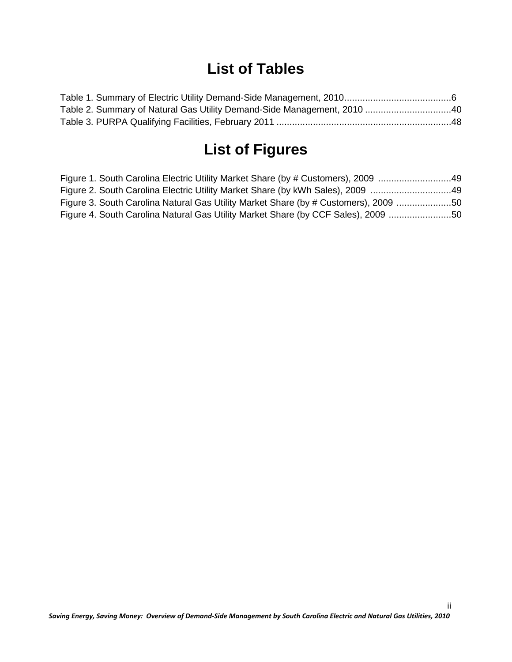# **List of Tables**

| Table 2. Summary of Natural Gas Utility Demand-Side Management, 2010 40 |  |
|-------------------------------------------------------------------------|--|
|                                                                         |  |

# **List of Figures**

| Figure 1. South Carolina Electric Utility Market Share (by # Customers), 2009 49    |  |
|-------------------------------------------------------------------------------------|--|
| Figure 2. South Carolina Electric Utility Market Share (by kWh Sales), 2009 49      |  |
| Figure 3. South Carolina Natural Gas Utility Market Share (by # Customers), 2009 50 |  |
| Figure 4. South Carolina Natural Gas Utility Market Share (by CCF Sales), 2009 50   |  |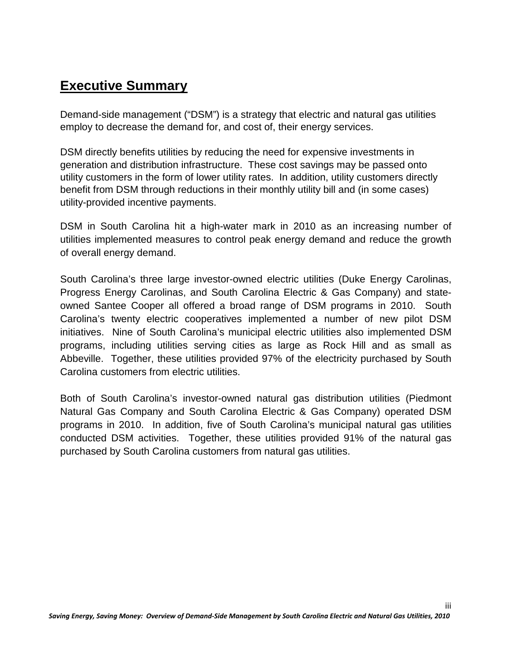# **Executive Summary**

Demand-side management ("DSM") is a strategy that electric and natural gas utilities employ to decrease the demand for, and cost of, their energy services.

DSM directly benefits utilities by reducing the need for expensive investments in generation and distribution infrastructure. These cost savings may be passed onto utility customers in the form of lower utility rates. In addition, utility customers directly benefit from DSM through reductions in their monthly utility bill and (in some cases) utility-provided incentive payments.

DSM in South Carolina hit a high-water mark in 2010 as an increasing number of utilities implemented measures to control peak energy demand and reduce the growth of overall energy demand.

South Carolina's three large investor-owned electric utilities (Duke Energy Carolinas, Progress Energy Carolinas, and South Carolina Electric & Gas Company) and stateowned Santee Cooper all offered a broad range of DSM programs in 2010. South Carolina's twenty electric cooperatives implemented a number of new pilot DSM initiatives. Nine of South Carolina's municipal electric utilities also implemented DSM programs, including utilities serving cities as large as Rock Hill and as small as Abbeville. Together, these utilities provided 97% of the electricity purchased by South Carolina customers from electric utilities.

Both of South Carolina's investor-owned natural gas distribution utilities (Piedmont Natural Gas Company and South Carolina Electric & Gas Company) operated DSM programs in 2010. In addition, five of South Carolina's municipal natural gas utilities conducted DSM activities. Together, these utilities provided 91% of the natural gas purchased by South Carolina customers from natural gas utilities.

iii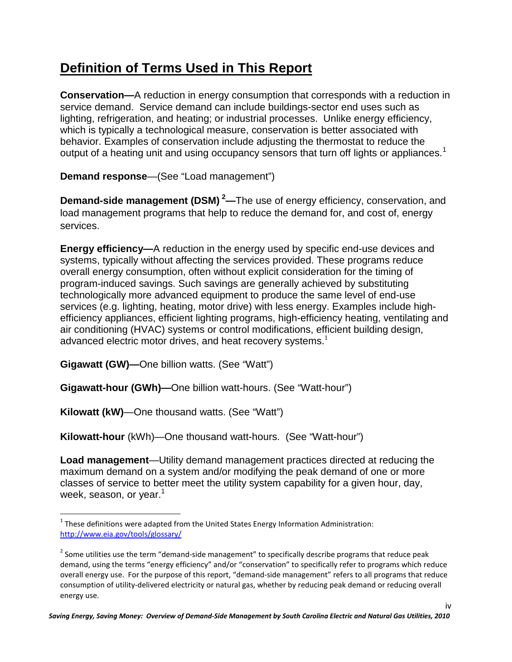# **Definition of Terms Used in This Report**

**Conservation—**A reduction in energy consumption that corresponds with a reduction in service demand. Service demand can include buildings-sector end uses such as lighting, refrigeration, and heating; or industrial processes. Unlike energy efficiency, which is typically a technological measure, conservation is better associated with behavior. Examples of conservation include adjusting the thermostat to reduce the output of a heating unit and using occupancy sensors that turn off lights or appliances.<sup>[1](#page-5-0)</sup>

**Demand response**—(See "Load management")

**Demand-side management (DSM) [2](#page-5-1) —**The use of energy efficiency, conservation, and load management programs that help to reduce the demand for, and cost of, energy services.

**Energy efficiency—**A reduction in the energy used by specific end-use devices and systems, typically without affecting the services provided. These programs reduce overall energy consumption, often without explicit consideration for the timing of program-induced savings. Such savings are generally achieved by substituting technologically more advanced equipment to produce the same level of end-use services (e.g. lighting, heating, motor drive) with less energy. Examples include highefficiency appliances, efficient lighting programs, high-efficiency heating, ventilating and air conditioning (HVAC) systems or control modifications, efficient building design, advanced electric motor drives, and heat recovery systems. $<sup>1</sup>$ </sup>

**Gigawatt (GW)—**One billion watts. (See "Watt")

**Gigawatt-hour (GWh)—**One billion watt-hours. (See "Watt-hour")

**Kilowatt (kW)**—One thousand watts. (See "Watt")

**Kilowatt-hour** (kWh)—One thousand watt-hours. (See "Watt-hour")

**Load management**—Utility demand management practices directed at reducing the maximum demand on a system and/or modifying the peak demand of one or more classes of service to better meet the utility system capability for a given hour, day, week, season, or year. $<sup>1</sup>$ </sup>

<span id="page-5-0"></span> $1$  These definitions were adapted from the United States Energy Information Administration: <http://www.eia.gov/tools/glossary/>

<span id="page-5-1"></span> $2$  Some utilities use the term "demand-side management" to specifically describe programs that reduce peak demand, using the terms "energy efficiency" and/or "conservation" to specifically refer to programs which reduce overall energy use. For the purpose of this report, "demand-side management" refers to all programs that reduce consumption of utility-delivered electricity or natural gas, whether by reducing peak demand or reducing overall energy use.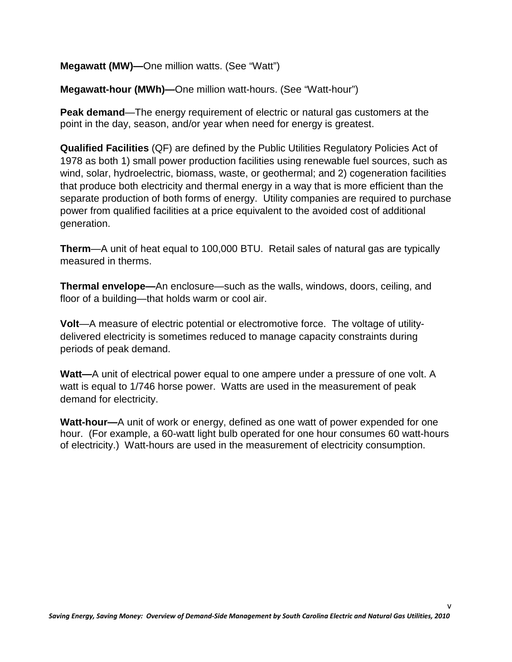**Megawatt (MW)—**One million watts. (See "Watt")

**Megawatt-hour (MWh)—**One million watt-hours. (See "Watt-hour")

**Peak demand**—The energy requirement of electric or natural gas customers at the point in the day, season, and/or year when need for energy is greatest.

**Qualified Facilities** (QF) are defined by the Public Utilities Regulatory Policies Act of 1978 as both 1) small power production facilities using renewable fuel sources, such as wind, solar, hydroelectric, biomass, waste, or geothermal; and 2) cogeneration facilities that produce both electricity and thermal energy in a way that is more efficient than the separate production of both forms of energy. Utility companies are required to purchase power from qualified facilities at a price equivalent to the avoided cost of additional generation.

**Therm**—A unit of heat equal to 100,000 BTU. Retail sales of natural gas are typically measured in therms.

**Thermal envelope—**An enclosure—such as the walls, windows, doors, ceiling, and floor of a building—that holds warm or cool air.

**Volt**—A measure of electric potential or electromotive force. The voltage of utilitydelivered electricity is sometimes reduced to manage capacity constraints during periods of peak demand.

**Watt—**A unit of electrical power equal to one ampere under a pressure of one volt. A watt is equal to 1/746 horse power. Watts are used in the measurement of peak demand for electricity.

**Watt-hour—**A unit of work or energy, defined as one watt of power expended for one hour. (For example, a 60-watt light bulb operated for one hour consumes 60 watt-hours of electricity.) Watt-hours are used in the measurement of electricity consumption.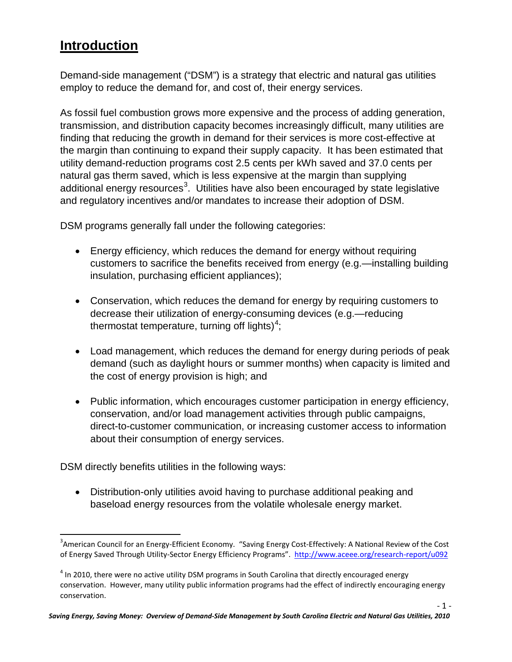# **Introduction**

Demand-side management ("DSM") is a strategy that electric and natural gas utilities employ to reduce the demand for, and cost of, their energy services.

As fossil fuel combustion grows more expensive and the process of adding generation, transmission, and distribution capacity becomes increasingly difficult, many utilities are finding that reducing the growth in demand for their services is more cost-effective at the margin than continuing to expand their supply capacity. It has been estimated that utility demand-reduction programs cost 2.5 cents per kWh saved and 37.0 cents per natural gas therm saved, which is less expensive at the margin than supplying additional energy resources $^3$  $^3$ . Utilities have also been encouraged by state legislative and regulatory incentives and/or mandates to increase their adoption of DSM.

DSM programs generally fall under the following categories:

- Energy efficiency, which reduces the demand for energy without requiring customers to sacrifice the benefits received from energy (e.g.—installing building insulation, purchasing efficient appliances);
- Conservation, which reduces the demand for energy by requiring customers to decrease their utilization of energy-consuming devices (e.g.—reducing thermostat temperature, turning off lights)<sup>[4](#page-7-1)</sup>;
- Load management, which reduces the demand for energy during periods of peak demand (such as daylight hours or summer months) when capacity is limited and the cost of energy provision is high; and
- Public information, which encourages customer participation in energy efficiency, conservation, and/or load management activities through public campaigns, direct-to-customer communication, or increasing customer access to information about their consumption of energy services.

DSM directly benefits utilities in the following ways:

• Distribution-only utilities avoid having to purchase additional peaking and baseload energy resources from the volatile wholesale energy market.

<span id="page-7-0"></span><sup>-&</sup>lt;br>3  ${}^{3}$ American Council for an Energy-Efficient Economy. "Saving Energy Cost-Effectively: A National Review of the Cost of Energy Saved Through Utility-Sector Energy Efficiency Programs".<http://www.aceee.org/research-report/u092>

<span id="page-7-1"></span> $4$  In 2010, there were no active utility DSM programs in South Carolina that directly encouraged energy conservation. However, many utility public information programs had the effect of indirectly encouraging energy conservation.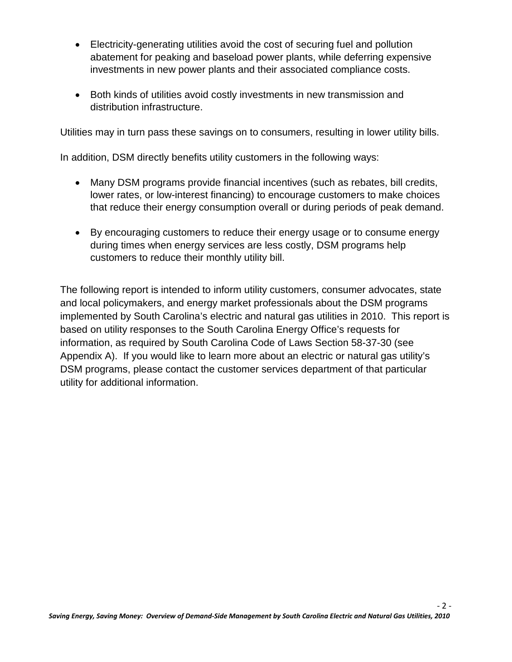- Electricity-generating utilities avoid the cost of securing fuel and pollution abatement for peaking and baseload power plants, while deferring expensive investments in new power plants and their associated compliance costs.
- Both kinds of utilities avoid costly investments in new transmission and distribution infrastructure.

Utilities may in turn pass these savings on to consumers, resulting in lower utility bills.

In addition, DSM directly benefits utility customers in the following ways:

- Many DSM programs provide financial incentives (such as rebates, bill credits, lower rates, or low-interest financing) to encourage customers to make choices that reduce their energy consumption overall or during periods of peak demand.
- By encouraging customers to reduce their energy usage or to consume energy during times when energy services are less costly, DSM programs help customers to reduce their monthly utility bill.

The following report is intended to inform utility customers, consumer advocates, state and local policymakers, and energy market professionals about the DSM programs implemented by South Carolina's electric and natural gas utilities in 2010. This report is based on utility responses to the South Carolina Energy Office's requests for information, as required by South Carolina Code of Laws Section 58-37-30 (see Appendix A). If you would like to learn more about an electric or natural gas utility's DSM programs, please contact the customer services department of that particular utility for additional information.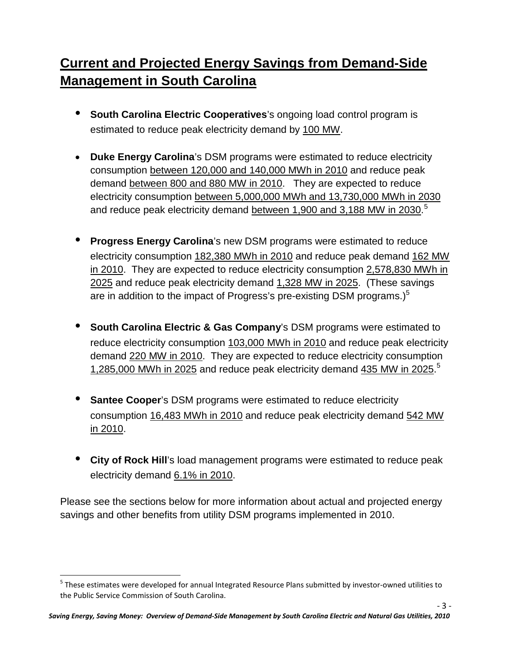# **Current and Projected Energy Savings from Demand-Side Management in South Carolina**

- **South Carolina Electric Cooperatives**'s ongoing load control program is estimated to reduce peak electricity demand by 100 MW.
- **Duke Energy Carolina**'s DSM programs were estimated to reduce electricity consumption between 120,000 and 140,000 MWh in 2010 and reduce peak demand between 800 and 880 MW in 2010. They are expected to reduce electricity consumption between 5,000,000 MWh and 13,730,000 MWh in 2030 and reduce peak electricity demand <u>between 1,900 and 3,188 MW in 2030</u>.<sup>[5](#page-9-0)</sup>
- **Progress Energy Carolina**'s new DSM programs were estimated to reduce electricity consumption 182,380 MWh in 2010 and reduce peak demand 162 MW in 2010. They are expected to reduce electricity consumption 2,578,830 MWh in 2025 and reduce peak electricity demand 1,328 MW in 2025. (These savings are in addition to the impact of Progress's pre-existing DSM programs.) $<sup>5</sup>$ </sup>
- **South Carolina Electric & Gas Company**'s DSM programs were estimated to reduce electricity consumption 103,000 MWh in 2010 and reduce peak electricity demand 220 MW in 2010. They are expected to reduce electricity consumption 1,285,000 MWh in 2025 and reduce peak electricity demand 435 MW in 2025.<sup>5</sup>
- **Santee Cooper**'s DSM programs were estimated to reduce electricity consumption 16,483 MWh in 2010 and reduce peak electricity demand 542 MW in 2010.
- **City of Rock Hill**'s load management programs were estimated to reduce peak electricity demand 6.1% in 2010.

Please see the sections below for more information about actual and projected energy savings and other benefits from utility DSM programs implemented in 2010.

<span id="page-9-0"></span><sup>&</sup>lt;sup>5</sup> These estimates were developed for annual Integrated Resource Plans submitted by investor-owned utilities to the Public Service Commission of South Carolina.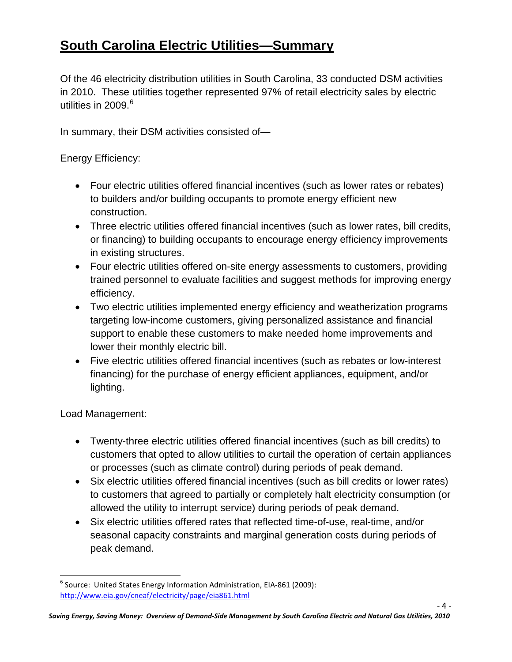# **South Carolina Electric Utilities—Summary**

Of the 46 electricity distribution utilities in South Carolina, 33 conducted DSM activities in 2010. These utilities together represented 97% of retail electricity sales by electric utilities in 2009. [6](#page-10-0)

In summary, their DSM activities consisted of—

Energy Efficiency:

- Four electric utilities offered financial incentives (such as lower rates or rebates) to builders and/or building occupants to promote energy efficient new construction.
- Three electric utilities offered financial incentives (such as lower rates, bill credits, or financing) to building occupants to encourage energy efficiency improvements in existing structures.
- Four electric utilities offered on-site energy assessments to customers, providing trained personnel to evaluate facilities and suggest methods for improving energy efficiency.
- Two electric utilities implemented energy efficiency and weatherization programs targeting low-income customers, giving personalized assistance and financial support to enable these customers to make needed home improvements and lower their monthly electric bill.
- Five electric utilities offered financial incentives (such as rebates or low-interest financing) for the purchase of energy efficient appliances, equipment, and/or lighting.

Load Management:

- Twenty-three electric utilities offered financial incentives (such as bill credits) to customers that opted to allow utilities to curtail the operation of certain appliances or processes (such as climate control) during periods of peak demand.
- Six electric utilities offered financial incentives (such as bill credits or lower rates) to customers that agreed to partially or completely halt electricity consumption (or allowed the utility to interrupt service) during periods of peak demand.
- Six electric utilities offered rates that reflected time-of-use, real-time, and/or seasonal capacity constraints and marginal generation costs during periods of peak demand.

<span id="page-10-0"></span> $6$  Source: United States Energy Information Administration, EIA-861 (2009): <http://www.eia.gov/cneaf/electricity/page/eia861.html>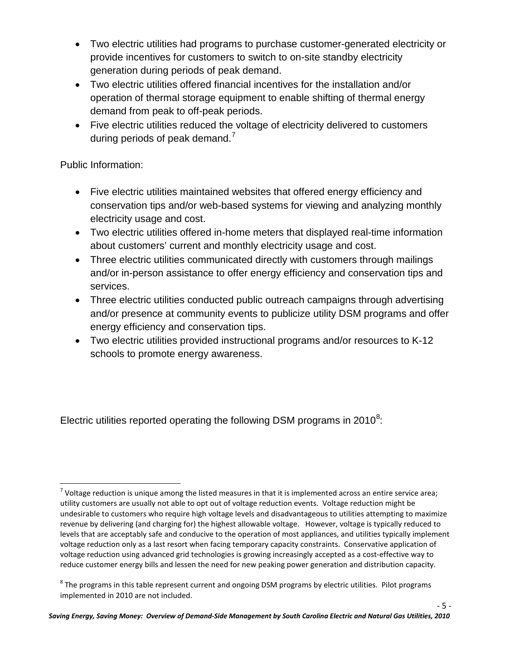- Two electric utilities had programs to purchase customer-generated electricity or provide incentives for customers to switch to on-site standby electricity generation during periods of peak demand.
- Two electric utilities offered financial incentives for the installation and/or operation of thermal storage equipment to enable shifting of thermal energy demand from peak to off-peak periods.
- Five electric utilities reduced the voltage of electricity delivered to customers during periods of peak demand. $<sup>7</sup>$  $<sup>7</sup>$  $<sup>7</sup>$ </sup>

Public Information:

- Five electric utilities maintained websites that offered energy efficiency and conservation tips and/or web-based systems for viewing and analyzing monthly electricity usage and cost.
- Two electric utilities offered in-home meters that displayed real-time information about customers' current and monthly electricity usage and cost.
- Three electric utilities communicated directly with customers through mailings and/or in-person assistance to offer energy efficiency and conservation tips and services.
- Three electric utilities conducted public outreach campaigns through advertising and/or presence at community events to publicize utility DSM programs and offer energy efficiency and conservation tips.
- Two electric utilities provided instructional programs and/or resources to K-12 schools to promote energy awareness.

Electric utilities reported operating the following DSM programs in 2010 $8$ :

<span id="page-11-0"></span> $^7$  Voltage reduction is unique among the listed measures in that it is implemented across an entire service area; utility customers are usually not able to opt out of voltage reduction events. Voltage reduction might be undesirable to customers who require high voltage levels and disadvantageous to utilities attempting to maximize revenue by delivering (and charging for) the highest allowable voltage. However, voltage is typically reduced to levels that are acceptably safe and conducive to the operation of most appliances, and utilities typically implement voltage reduction only as a last resort when facing temporary capacity constraints. Conservative application of voltage reduction using advanced grid technologies is growing increasingly accepted as a cost-effective way to reduce customer energy bills and lessen the need for new peaking power generation and distribution capacity.

<span id="page-11-1"></span> $8$  The programs in this table represent current and ongoing DSM programs by electric utilities. Pilot programs implemented in 2010 are not included.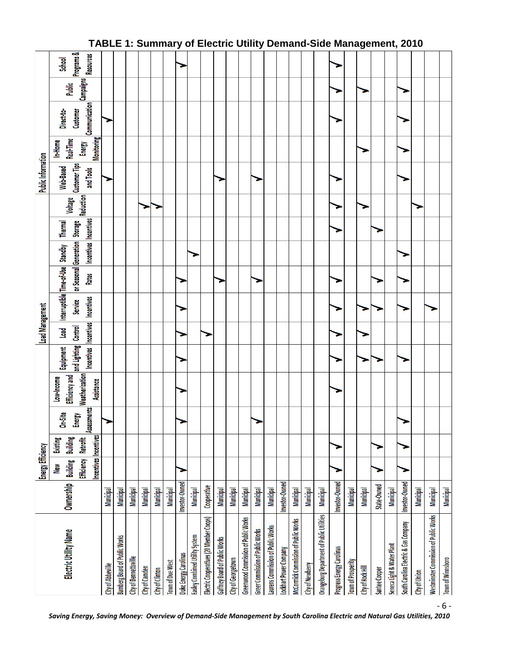|                                           |                  | Energy Efficiency            |                             |                       |                              |                                               | <b>Load Management</b> |                                   |                                         |                       |                |           | <b>Public Information</b>  |                      |                                  |           |                         |
|-------------------------------------------|------------------|------------------------------|-----------------------------|-----------------------|------------------------------|-----------------------------------------------|------------------------|-----------------------------------|-----------------------------------------|-----------------------|----------------|-----------|----------------------------|----------------------|----------------------------------|-----------|-------------------------|
| Electric Utility Name                     | Ownership        | Building<br>New              | <b>Building</b><br>Existing | On-Site               | Efficiency and<br>Low-Income | Equipment                                     | <b>Load</b>            | Interruptible Time-of-Use Standby |                                         |                       | <b>Thermal</b> | Voltage   | Web-Based                  | Real-Time<br>In-Home | Direct-to-                       | Public    | School                  |
|                                           |                  | Efficiency                   | <b>Retrofit</b>             | Assessments<br>Energy | Weatherization               | Incentives Incentives<br>and Lighting Control |                        | <b>Incentives</b><br>Service      | or Seasonal Generation Storage<br>Rates | Incentives Incentives |                | Reduction | Customer Tips<br>and Tools | Energy               | Communication<br><b>Customer</b> | Campaigns | Programs &<br>Resources |
|                                           |                  | <b>Incentives Incentives</b> |                             |                       | Assistance                   |                                               |                        |                                   |                                         |                       |                |           |                            | <b>Monitoring</b>    |                                  |           |                         |
| City of Abbeville                         | Municipal        |                              |                             |                       |                              |                                               |                        |                                   |                                         |                       |                |           |                            |                      |                                  |           |                         |
| <b>Bamberg Board of Public Works</b>      | Municipal        |                              |                             |                       |                              |                                               |                        |                                   |                                         |                       |                |           |                            |                      |                                  |           |                         |
| City of Bennettsville                     | Municipal        |                              |                             |                       |                              |                                               |                        |                                   |                                         |                       |                |           |                            |                      |                                  |           |                         |
| City of Camden                            | <b>Municipal</b> |                              |                             |                       |                              |                                               |                        |                                   |                                         |                       |                |           |                            |                      |                                  |           |                         |
| City of Clinton                           | Municipal        |                              |                             |                       |                              |                                               |                        |                                   |                                         |                       |                |           |                            |                      |                                  |           |                         |
| Town of Due West                          | <b>Municipal</b> |                              |                             |                       |                              |                                               |                        |                                   |                                         |                       |                |           |                            |                      |                                  |           |                         |
| Duke Energy Carolinas                     | Investor-Owned   |                              |                             |                       |                              |                                               |                        |                                   |                                         |                       |                |           |                            |                      |                                  |           |                         |
| Easley Combined Utility System            | Municipal        |                              |                             |                       |                              |                                               |                        |                                   |                                         |                       |                |           |                            |                      |                                  |           |                         |
| Electric Cooperatives (20 Member Coops)   | Cooperative      |                              |                             |                       |                              |                                               |                        |                                   |                                         |                       |                |           |                            |                      |                                  |           |                         |
| Gaffney Board of Public Works             | <b>Municipal</b> |                              |                             |                       |                              |                                               |                        |                                   |                                         |                       |                |           |                            |                      |                                  |           |                         |
| City of Georgetown                        | Municipal        |                              |                             |                       |                              |                                               |                        |                                   |                                         |                       |                |           |                            |                      |                                  |           |                         |
| Greenwood Commission of Public Works      | <b>Municipal</b> |                              |                             |                       |                              |                                               |                        |                                   |                                         |                       |                |           |                            |                      |                                  |           |                         |
| Greer Commission of Public Works          | Municipal        |                              |                             |                       |                              |                                               |                        |                                   |                                         |                       |                |           |                            |                      |                                  |           |                         |
| Laurens Commission of Public Works        | <b>Municipal</b> |                              |                             |                       |                              |                                               |                        |                                   |                                         |                       |                |           |                            |                      |                                  |           |                         |
| Lockhart Power Company                    | Investor-Owned   |                              |                             |                       |                              |                                               |                        |                                   |                                         |                       |                |           |                            |                      |                                  |           |                         |
| McCormick Commission of Public Works      | <b>Municipal</b> |                              |                             |                       |                              |                                               |                        |                                   |                                         |                       |                |           |                            |                      |                                  |           |                         |
| City of Newberry                          | Municipal        |                              |                             |                       |                              |                                               |                        |                                   |                                         |                       |                |           |                            |                      |                                  |           |                         |
| Orangeburg Department of Public Utilities | <b>Municipal</b> |                              |                             |                       |                              |                                               |                        |                                   |                                         |                       |                |           |                            |                      |                                  |           |                         |
| Progress Energy Carolinas                 | Investor-Owned   |                              |                             |                       |                              |                                               |                        |                                   |                                         |                       |                |           |                            |                      |                                  |           |                         |
| <b>Town of Prosperity</b>                 | Municipal        |                              |                             |                       |                              |                                               |                        |                                   |                                         |                       |                |           |                            |                      |                                  |           |                         |
| City of Rock Hill                         | Municipal        |                              |                             |                       |                              |                                               |                        |                                   |                                         |                       |                |           |                            |                      |                                  |           |                         |
| Santee Cooper                             | State-Owned      |                              |                             |                       |                              |                                               |                        |                                   |                                         |                       |                |           |                            |                      |                                  |           |                         |
| Seneca Light & Water Plant                | Municipal        |                              |                             |                       |                              |                                               |                        |                                   |                                         |                       |                |           |                            |                      |                                  |           |                         |
| South Carolina Electric & Gas Company     | Investor-Owned   |                              |                             |                       |                              |                                               |                        |                                   |                                         |                       |                |           |                            |                      |                                  |           |                         |
| City of Union                             | <b>Municipal</b> |                              |                             |                       |                              |                                               |                        |                                   |                                         |                       |                |           |                            |                      |                                  |           |                         |
| Westminster Commission of Public Works    | Municipal        |                              |                             |                       |                              |                                               |                        |                                   |                                         |                       |                |           |                            |                      |                                  |           |                         |
| <b>Town of Winnsboro</b>                  | <b>Municipal</b> |                              |                             |                       |                              |                                               |                        |                                   |                                         |                       |                |           |                            |                      |                                  |           |                         |

### **TABLE 1: Summary of Electric Utility Demand-Side Management, 2010**

*Saving Energy, Saving Money: Overview of Demand-Side Management by South Carolina Electric and Natural Gas Utilities, 2010*

<sup>-</sup> 6 -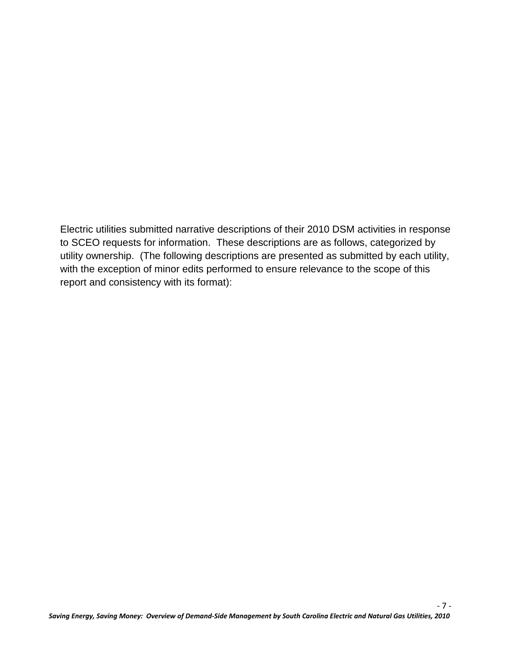Electric utilities submitted narrative descriptions of their 2010 DSM activities in response to SCEO requests for information. These descriptions are as follows, categorized by utility ownership. (The following descriptions are presented as submitted by each utility, with the exception of minor edits performed to ensure relevance to the scope of this report and consistency with its format):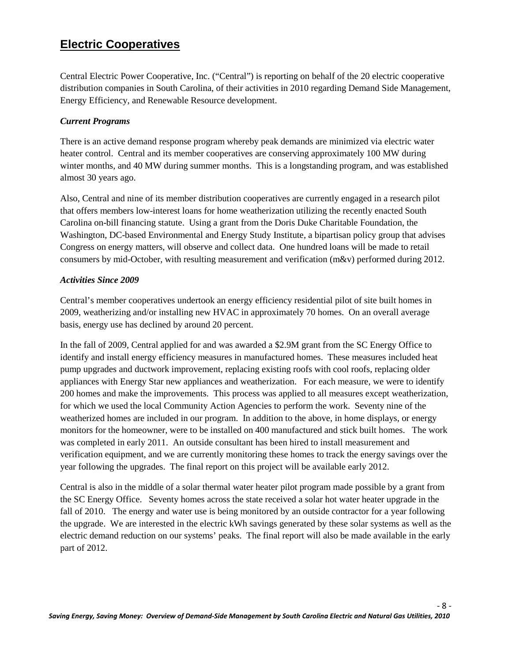## **Electric Cooperatives**

Central Electric Power Cooperative, Inc. ("Central") is reporting on behalf of the 20 electric cooperative distribution companies in South Carolina, of their activities in 2010 regarding Demand Side Management, Energy Efficiency, and Renewable Resource development.

#### *Current Programs*

There is an active demand response program whereby peak demands are minimized via electric water heater control. Central and its member cooperatives are conserving approximately 100 MW during winter months, and 40 MW during summer months. This is a longstanding program, and was established almost 30 years ago.

Also, Central and nine of its member distribution cooperatives are currently engaged in a research pilot that offers members low-interest loans for home weatherization utilizing the recently enacted South Carolina on-bill financing statute. Using a grant from the Doris Duke Charitable Foundation, the Washington, DC-based Environmental and Energy Study Institute, a bipartisan policy group that advises Congress on energy matters, will observe and collect data. One hundred loans will be made to retail consumers by mid-October, with resulting measurement and verification (m&v) performed during 2012.

#### *Activities Since 2009*

Central's member cooperatives undertook an energy efficiency residential pilot of site built homes in 2009, weatherizing and/or installing new HVAC in approximately 70 homes. On an overall average basis, energy use has declined by around 20 percent.

In the fall of 2009, Central applied for and was awarded a \$2.9M grant from the SC Energy Office to identify and install energy efficiency measures in manufactured homes. These measures included heat pump upgrades and ductwork improvement, replacing existing roofs with cool roofs, replacing older appliances with Energy Star new appliances and weatherization. For each measure, we were to identify 200 homes and make the improvements. This process was applied to all measures except weatherization, for which we used the local Community Action Agencies to perform the work. Seventy nine of the weatherized homes are included in our program. In addition to the above, in home displays, or energy monitors for the homeowner, were to be installed on 400 manufactured and stick built homes. The work was completed in early 2011. An outside consultant has been hired to install measurement and verification equipment, and we are currently monitoring these homes to track the energy savings over the year following the upgrades. The final report on this project will be available early 2012.

Central is also in the middle of a solar thermal water heater pilot program made possible by a grant from the SC Energy Office. Seventy homes across the state received a solar hot water heater upgrade in the fall of 2010. The energy and water use is being monitored by an outside contractor for a year following the upgrade. We are interested in the electric kWh savings generated by these solar systems as well as the electric demand reduction on our systems' peaks. The final report will also be made available in the early part of 2012.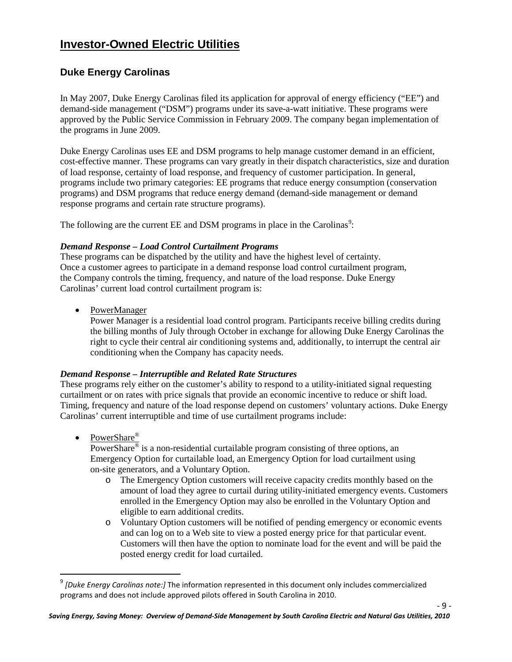# **Investor-Owned Electric Utilities**

#### **Duke Energy Carolinas**

In May 2007, Duke Energy Carolinas filed its application for approval of energy efficiency ("EE") and demand-side management ("DSM") programs under its save-a-watt initiative. These programs were approved by the Public Service Commission in February 2009. The company began implementation of the programs in June 2009.

Duke Energy Carolinas uses EE and DSM programs to help manage customer demand in an efficient, cost-effective manner. These programs can vary greatly in their dispatch characteristics, size and duration of load response, certainty of load response, and frequency of customer participation. In general, programs include two primary categories: EE programs that reduce energy consumption (conservation programs) and DSM programs that reduce energy demand (demand-side management or demand response programs and certain rate structure programs).

The following are the current EE and DSM programs in place in the Carolinas<sup>[9](#page-15-0)</sup>:

#### *Demand Response – Load Control Curtailment Programs*

These programs can be dispatched by the utility and have the highest level of certainty. Once a customer agrees to participate in a demand response load control curtailment program, the Company controls the timing, frequency, and nature of the load response. Duke Energy Carolinas' current load control curtailment program is:

• PowerManager

Power Manager is a residential load control program. Participants receive billing credits during the billing months of July through October in exchange for allowing Duke Energy Carolinas the right to cycle their central air conditioning systems and, additionally, to interrupt the central air conditioning when the Company has capacity needs.

#### *Demand Response – Interruptible and Related Rate Structures*

These programs rely either on the customer's ability to respond to a utility-initiated signal requesting curtailment or on rates with price signals that provide an economic incentive to reduce or shift load. Timing, frequency and nature of the load response depend on customers' voluntary actions. Duke Energy Carolinas' current interruptible and time of use curtailment programs include:

• PowerShare®

PowerShare® is a non-residential curtailable program consisting of three options, an Emergency Option for curtailable load, an Emergency Option for load curtailment using on-site generators, and a Voluntary Option.

- o The Emergency Option customers will receive capacity credits monthly based on the amount of load they agree to curtail during utility-initiated emergency events. Customers enrolled in the Emergency Option may also be enrolled in the Voluntary Option and eligible to earn additional credits.
- o Voluntary Option customers will be notified of pending emergency or economic events and can log on to a Web site to view a posted energy price for that particular event. Customers will then have the option to nominate load for the event and will be paid the posted energy credit for load curtailed.

- 9 -

<span id="page-15-0"></span> <sup>9</sup> *[Duke Energy Carolinas note:]* The information represented in this document only includes commercialized programs and does not include approved pilots offered in South Carolina in 2010.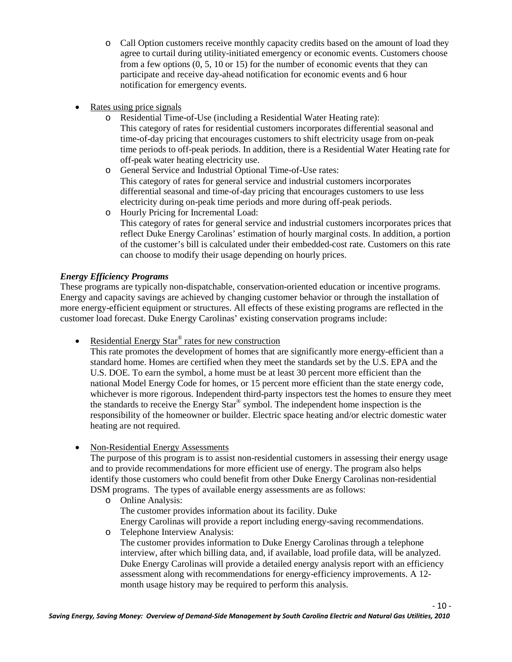- o Call Option customers receive monthly capacity credits based on the amount of load they agree to curtail during utility-initiated emergency or economic events. Customers choose from a few options (0, 5, 10 or 15) for the number of economic events that they can participate and receive day-ahead notification for economic events and 6 hour notification for emergency events.
- Rates using price signals
	- o Residential Time-of-Use (including a Residential Water Heating rate): This category of rates for residential customers incorporates differential seasonal and time-of-day pricing that encourages customers to shift electricity usage from on-peak time periods to off-peak periods. In addition, there is a Residential Water Heating rate for off-peak water heating electricity use.
	- o General Service and Industrial Optional Time-of-Use rates: This category of rates for general service and industrial customers incorporates differential seasonal and time-of-day pricing that encourages customers to use less electricity during on-peak time periods and more during off-peak periods.
	- o Hourly Pricing for Incremental Load: This category of rates for general service and industrial customers incorporates prices that reflect Duke Energy Carolinas' estimation of hourly marginal costs. In addition, a portion of the customer's bill is calculated under their embedded-cost rate. Customers on this rate can choose to modify their usage depending on hourly prices.

#### *Energy Efficiency Programs*

These programs are typically non-dispatchable, conservation-oriented education or incentive programs. Energy and capacity savings are achieved by changing customer behavior or through the installation of more energy-efficient equipment or structures. All effects of these existing programs are reflected in the customer load forecast. Duke Energy Carolinas' existing conservation programs include:

• Residential Energy Star<sup>®</sup> rates for new construction

This rate promotes the development of homes that are significantly more energy-efficient than a standard home. Homes are certified when they meet the standards set by the U.S. EPA and the U.S. DOE. To earn the symbol, a home must be at least 30 percent more efficient than the national Model Energy Code for homes, or 15 percent more efficient than the state energy code, whichever is more rigorous. Independent third-party inspectors test the homes to ensure they meet the standards to receive the Energy  $Star^{\otimes}$  symbol. The independent home inspection is the responsibility of the homeowner or builder. Electric space heating and/or electric domestic water heating are not required.

• Non-Residential Energy Assessments

The purpose of this program is to assist non-residential customers in assessing their energy usage and to provide recommendations for more efficient use of energy. The program also helps identify those customers who could benefit from other Duke Energy Carolinas non-residential DSM programs. The types of available energy assessments are as follows:

- o Online Analysis: The customer provides information about its facility. Duke Energy Carolinas will provide a report including energy-saving recommendations. o Telephone Interview Analysis:
	- The customer provides information to Duke Energy Carolinas through a telephone interview, after which billing data, and, if available, load profile data, will be analyzed. Duke Energy Carolinas will provide a detailed energy analysis report with an efficiency assessment along with recommendations for energy-efficiency improvements. A 12 month usage history may be required to perform this analysis.

- 10 -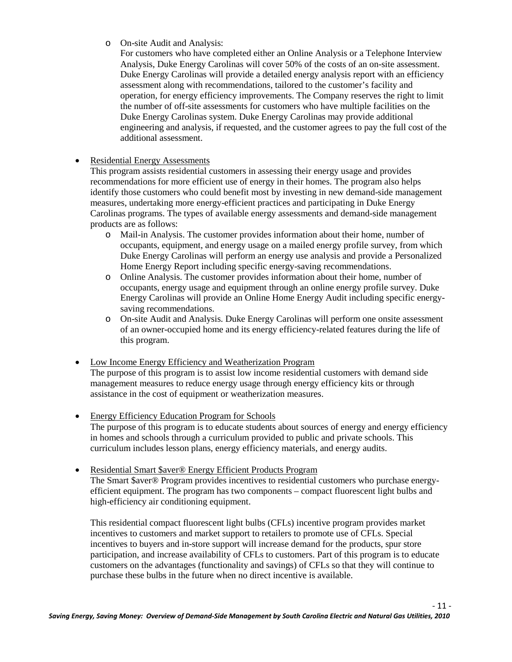o On-site Audit and Analysis:

For customers who have completed either an Online Analysis or a Telephone Interview Analysis, Duke Energy Carolinas will cover 50% of the costs of an on-site assessment. Duke Energy Carolinas will provide a detailed energy analysis report with an efficiency assessment along with recommendations, tailored to the customer's facility and operation, for energy efficiency improvements. The Company reserves the right to limit the number of off-site assessments for customers who have multiple facilities on the Duke Energy Carolinas system. Duke Energy Carolinas may provide additional engineering and analysis, if requested, and the customer agrees to pay the full cost of the additional assessment.

#### • Residential Energy Assessments

This program assists residential customers in assessing their energy usage and provides recommendations for more efficient use of energy in their homes. The program also helps identify those customers who could benefit most by investing in new demand-side management measures, undertaking more energy-efficient practices and participating in Duke Energy Carolinas programs. The types of available energy assessments and demand-side management products are as follows:

- o Mail-in Analysis. The customer provides information about their home, number of occupants, equipment, and energy usage on a mailed energy profile survey, from which Duke Energy Carolinas will perform an energy use analysis and provide a Personalized Home Energy Report including specific energy-saving recommendations.
- o Online Analysis. The customer provides information about their home, number of occupants, energy usage and equipment through an online energy profile survey. Duke Energy Carolinas will provide an Online Home Energy Audit including specific energysaving recommendations.
- o On-site Audit and Analysis. Duke Energy Carolinas will perform one onsite assessment of an owner-occupied home and its energy efficiency-related features during the life of this program.
- Low Income Energy Efficiency and Weatherization Program The purpose of this program is to assist low income residential customers with demand side management measures to reduce energy usage through energy efficiency kits or through assistance in the cost of equipment or weatherization measures.
- Energy Efficiency Education Program for Schools

The purpose of this program is to educate students about sources of energy and energy efficiency in homes and schools through a curriculum provided to public and private schools. This curriculum includes lesson plans, energy efficiency materials, and energy audits.

#### • Residential Smart \$aver® Energy Efficient Products Program

The Smart \$aver® Program provides incentives to residential customers who purchase energyefficient equipment. The program has two components – compact fluorescent light bulbs and high-efficiency air conditioning equipment.

This residential compact fluorescent light bulbs (CFLs) incentive program provides market incentives to customers and market support to retailers to promote use of CFLs. Special incentives to buyers and in-store support will increase demand for the products, spur store participation, and increase availability of CFLs to customers. Part of this program is to educate customers on the advantages (functionality and savings) of CFLs so that they will continue to purchase these bulbs in the future when no direct incentive is available.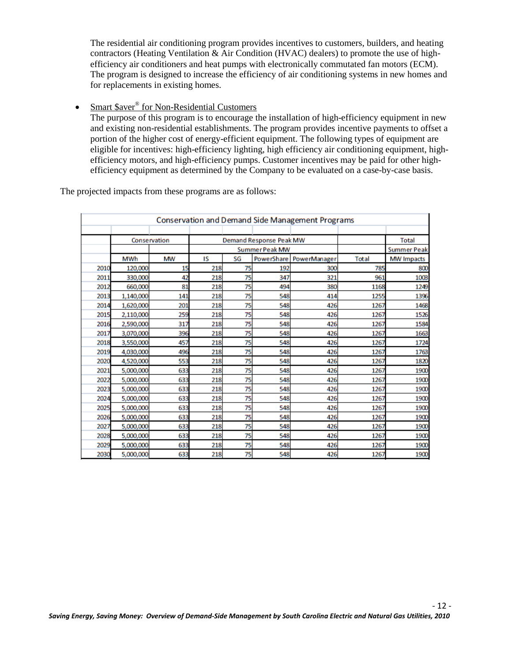The residential air conditioning program provides incentives to customers, builders, and heating contractors (Heating Ventilation & Air Condition (HVAC) dealers) to promote the use of highefficiency air conditioners and heat pumps with electronically commutated fan motors (ECM). The program is designed to increase the efficiency of air conditioning systems in new homes and for replacements in existing homes.

• Smart \$aver<sup>®</sup> for Non-Residential Customers

The purpose of this program is to encourage the installation of high-efficiency equipment in new and existing non-residential establishments. The program provides incentive payments to offset a portion of the higher cost of energy-efficient equipment. The following types of equipment are eligible for incentives: high-efficiency lighting, high efficiency air conditioning equipment, highefficiency motors, and high-efficiency pumps. Customer incentives may be paid for other highefficiency equipment as determined by the Company to be evaluated on a case-by-case basis.

The projected impacts from these programs are as follows:

|      |           |              |     |    |                         | <b>Conservation and Demand Side Management Programs</b> |       |                    |
|------|-----------|--------------|-----|----|-------------------------|---------------------------------------------------------|-------|--------------------|
|      |           |              |     |    |                         |                                                         |       |                    |
|      |           | Conservation |     |    | Demand Response Peak MW |                                                         |       | <b>Total</b>       |
|      |           |              |     |    | Summer Peak MW          |                                                         |       | <b>Summer Peak</b> |
|      | MWh       | MW           | IS  | SG |                         | PowerShare   PowerManager                               | Total | <b>MW Impacts</b>  |
| 2010 | 120,000   | 15           | 218 | 75 | 192                     | 300                                                     | 785   | 800                |
| 2011 | 330,000   | 42           | 218 | 75 | 347                     | 321                                                     | 961   | 1003               |
| 2012 | 660,000   | 81           | 218 | 75 | 494                     | 380                                                     | 1168  | 1249               |
| 2013 | 1,140,000 | 141          | 218 | 75 | 548                     | 414                                                     | 1255  | 1396               |
| 2014 | 1,620,000 | 201          | 218 | 75 | 548                     | 426                                                     | 1267  | 1468               |
| 2015 | 2,110,000 | 259          | 218 | 75 | 548                     | 426                                                     | 1267  | 1526               |
| 2016 | 2,590,000 | 317          | 218 | 75 | 548                     | 426                                                     | 1267  | 1584               |
| 2017 | 3,070,000 | 396          | 218 | 75 | 548                     | 426                                                     | 1267  | 1663               |
| 2018 | 3,550,000 | 457          | 218 | 75 | 548                     | 426                                                     | 1267  | 1724               |
| 2019 | 4,030,000 | 496          | 218 | 75 | 548                     | 426                                                     | 1267  | 1763               |
| 2020 | 4,520,000 | 553          | 218 | 75 | 548                     | 426                                                     | 1267  | 1820               |
| 2021 | 5,000,000 | 633          | 218 | 75 | 548                     | 426                                                     | 1267  | 1900               |
| 2022 | 5,000,000 | 633          | 218 | 75 | 548                     | 426                                                     | 1267  | 1900               |
| 2023 | 5,000,000 | 633          | 218 | 75 | 548                     | 426                                                     | 1267  | 1900               |
| 2024 | 5,000,000 | 633          | 218 | 75 | 548                     | 426                                                     | 1267  | 1900               |
| 2025 | 5,000,000 | 633          | 218 | 75 | 548                     | 426                                                     | 1267  | 1900               |
| 2026 | 5,000,000 | 633          | 218 | 75 | 548                     | 426                                                     | 1267  | 1900               |
| 2027 | 5,000,000 | 633          | 218 | 75 | 548                     | 426                                                     | 1267  | 1900               |
| 2028 | 5,000,000 | 633          | 218 | 75 | 548                     | 426                                                     | 1267  | 1900               |
| 2029 | 5,000,000 | 633          | 218 | 75 | 548                     | 426                                                     | 1267  | 1900               |
| 2030 | 5,000,000 | 633          | 218 | 75 | 548                     | 426                                                     | 1267  | 1900               |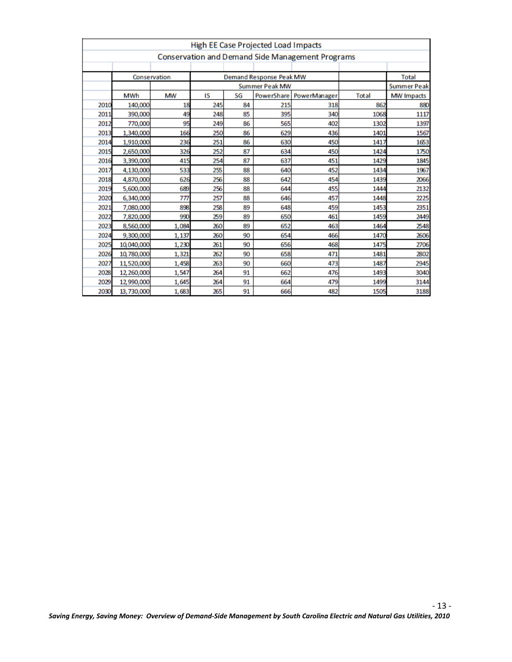|      |            |              |     |    | High EE Case Projected Load Impacts |                                                         |       |                    |
|------|------------|--------------|-----|----|-------------------------------------|---------------------------------------------------------|-------|--------------------|
|      |            |              |     |    |                                     | <b>Conservation and Demand Side Management Programs</b> |       |                    |
|      |            |              |     |    |                                     |                                                         |       |                    |
|      |            | Conservation |     |    | <b>Demand Response Peak MW</b>      |                                                         |       | <b>Total</b>       |
|      |            |              |     |    | <b>Summer Peak MW</b>               |                                                         |       | <b>Summer Peak</b> |
|      | MWh        | <b>MW</b>    | IS  | SG | <b>PowerShare</b>                   | PowerManager                                            | Total | <b>MW Impacts</b>  |
| 2010 | 140,000    | 18           | 245 | 84 | 215                                 | 318                                                     | 862   | 880                |
| 2011 | 390,000    | 49           | 248 | 85 | 395                                 | 340                                                     | 1068  | 1117               |
| 2012 | 770,000    | 95           | 249 | 86 | 565                                 | 402                                                     | 1302  | 1397               |
| 2013 | 1,340,000  | 166          | 250 | 86 | 629                                 | 436                                                     | 1401  | 1567               |
| 2014 | 1,910,000  | 236          | 251 | 86 | 630                                 | 450                                                     | 1417  | 1653               |
| 2015 | 2,650,000  | 326          | 252 | 87 | 634                                 | 450                                                     | 1424  | 1750               |
| 2016 | 3,390,000  | 415          | 254 | 87 | 637                                 | 451                                                     | 1429  | 1845               |
| 2017 | 4,130,000  | 533          | 255 | 88 | 640                                 | 452                                                     | 1434  | 1967               |
| 2018 | 4,870,000  | 626          | 256 | 88 | 642                                 | 454                                                     | 1439  | 2066               |
| 2019 | 5,600,000  | 689          | 256 | 88 | 644                                 | 455                                                     | 1444  | 2132               |
| 2020 | 6,340,000  | 777          | 257 | 88 | 646                                 | 457                                                     | 1448  | 2225               |
| 2021 | 7,080,000  | 898          | 258 | 89 | 648                                 | 459                                                     | 1453  | 2351               |
| 2022 | 7,820,000  | 990          | 259 | 89 | 650                                 | 461                                                     | 1459  | 2449               |
| 2023 | 8,560,000  | 1,084        | 260 | 89 | 652                                 | 463                                                     | 1464  | 2548               |
| 2024 | 9,300,000  | 1,137        | 260 | 90 | 654                                 | 466                                                     | 1470  | 2606               |
| 2025 | 10,040,000 | 1,230        | 261 | 90 | 656                                 | 468                                                     | 1475  | 2706               |
| 2026 | 10,780,000 | 1,321        | 262 | 90 | 658                                 | 471                                                     | 1481  | 2802               |
| 2027 | 11,520,000 | 1,458        | 263 | 90 | 660                                 | 473                                                     | 1487  | 2945               |
| 2028 | 12,260,000 | 1,547        | 264 | 91 | 662                                 | 476                                                     | 1493  | 3040               |
| 2029 | 12,990,000 | 1,645        | 264 | 91 | 664                                 | 479                                                     | 1499  | 3144               |
| 2030 | 13,730,000 | 1,683        | 265 | 91 | 666                                 | 482                                                     | 1505  | 3188               |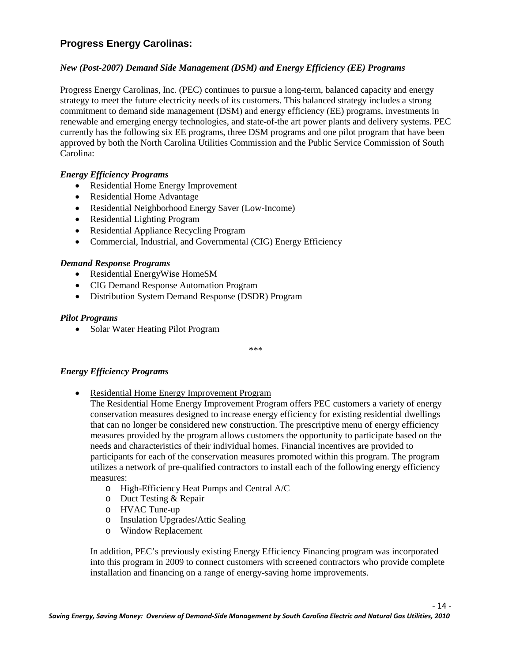#### **Progress Energy Carolinas:**

#### *New (Post-2007) Demand Side Management (DSM) and Energy Efficiency (EE) Programs*

Progress Energy Carolinas, Inc. (PEC) continues to pursue a long-term, balanced capacity and energy strategy to meet the future electricity needs of its customers. This balanced strategy includes a strong commitment to demand side management (DSM) and energy efficiency (EE) programs, investments in renewable and emerging energy technologies, and state-of-the art power plants and delivery systems. PEC currently has the following six EE programs, three DSM programs and one pilot program that have been approved by both the North Carolina Utilities Commission and the Public Service Commission of South Carolina:

#### *Energy Efficiency Programs*

- Residential Home Energy Improvement
- Residential Home Advantage
- Residential Neighborhood Energy Saver (Low-Income)
- Residential Lighting Program
- Residential Appliance Recycling Program
- Commercial, Industrial, and Governmental (CIG) Energy Efficiency

#### *Demand Response Programs*

- Residential EnergyWise HomeSM
- CIG Demand Response Automation Program
- Distribution System Demand Response (DSDR) Program

#### *Pilot Programs*

• Solar Water Heating Pilot Program

\*\*\*

#### *Energy Efficiency Programs*

• Residential Home Energy Improvement Program

The Residential Home Energy Improvement Program offers PEC customers a variety of energy conservation measures designed to increase energy efficiency for existing residential dwellings that can no longer be considered new construction. The prescriptive menu of energy efficiency measures provided by the program allows customers the opportunity to participate based on the needs and characteristics of their individual homes. Financial incentives are provided to participants for each of the conservation measures promoted within this program. The program utilizes a network of pre-qualified contractors to install each of the following energy efficiency measures:

- o High-Efficiency Heat Pumps and Central A/C
- o Duct Testing & Repair
- o HVAC Tune-up
- o Insulation Upgrades/Attic Sealing
- o Window Replacement

In addition, PEC's previously existing Energy Efficiency Financing program was incorporated into this program in 2009 to connect customers with screened contractors who provide complete installation and financing on a range of energy-saving home improvements.

- 14 -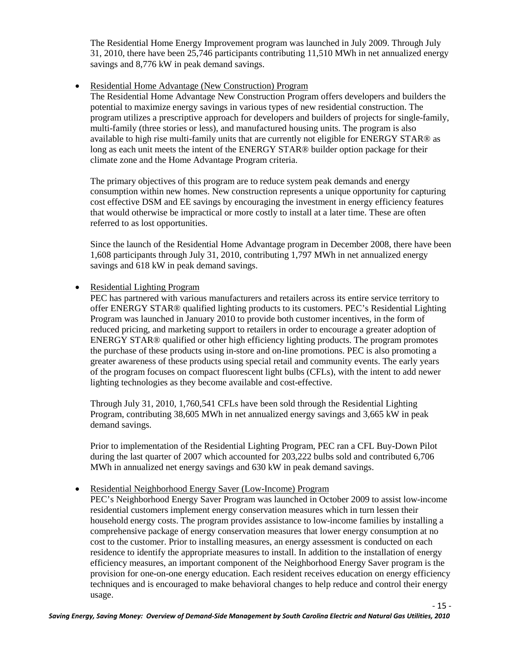The Residential Home Energy Improvement program was launched in July 2009. Through July 31, 2010, there have been 25,746 participants contributing 11,510 MWh in net annualized energy savings and 8,776 kW in peak demand savings.

• Residential Home Advantage (New Construction) Program

The Residential Home Advantage New Construction Program offers developers and builders the potential to maximize energy savings in various types of new residential construction. The program utilizes a prescriptive approach for developers and builders of projects for single-family, multi-family (three stories or less), and manufactured housing units. The program is also available to high rise multi-family units that are currently not eligible for ENERGY STAR® as long as each unit meets the intent of the ENERGY STAR® builder option package for their climate zone and the Home Advantage Program criteria.

The primary objectives of this program are to reduce system peak demands and energy consumption within new homes. New construction represents a unique opportunity for capturing cost effective DSM and EE savings by encouraging the investment in energy efficiency features that would otherwise be impractical or more costly to install at a later time. These are often referred to as lost opportunities.

Since the launch of the Residential Home Advantage program in December 2008, there have been 1,608 participants through July 31, 2010, contributing 1,797 MWh in net annualized energy savings and 618 kW in peak demand savings.

• Residential Lighting Program

PEC has partnered with various manufacturers and retailers across its entire service territory to offer ENERGY STAR® qualified lighting products to its customers. PEC's Residential Lighting Program was launched in January 2010 to provide both customer incentives, in the form of reduced pricing, and marketing support to retailers in order to encourage a greater adoption of ENERGY STAR® qualified or other high efficiency lighting products. The program promotes the purchase of these products using in-store and on-line promotions. PEC is also promoting a greater awareness of these products using special retail and community events. The early years of the program focuses on compact fluorescent light bulbs (CFLs), with the intent to add newer lighting technologies as they become available and cost-effective.

Through July 31, 2010, 1,760,541 CFLs have been sold through the Residential Lighting Program, contributing 38,605 MWh in net annualized energy savings and 3,665 kW in peak demand savings.

Prior to implementation of the Residential Lighting Program, PEC ran a CFL Buy-Down Pilot during the last quarter of 2007 which accounted for 203,222 bulbs sold and contributed 6,706 MWh in annualized net energy savings and 630 kW in peak demand savings.

• Residential Neighborhood Energy Saver (Low-Income) Program

PEC's Neighborhood Energy Saver Program was launched in October 2009 to assist low-income residential customers implement energy conservation measures which in turn lessen their household energy costs. The program provides assistance to low-income families by installing a comprehensive package of energy conservation measures that lower energy consumption at no cost to the customer. Prior to installing measures, an energy assessment is conducted on each residence to identify the appropriate measures to install. In addition to the installation of energy efficiency measures, an important component of the Neighborhood Energy Saver program is the provision for one-on-one energy education. Each resident receives education on energy efficiency techniques and is encouraged to make behavioral changes to help reduce and control their energy usage.

- 15 -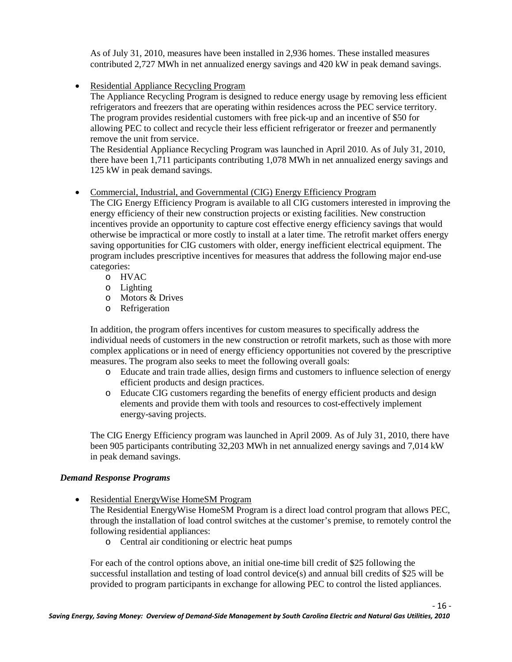As of July 31, 2010, measures have been installed in 2,936 homes. These installed measures contributed 2,727 MWh in net annualized energy savings and 420 kW in peak demand savings.

• Residential Appliance Recycling Program

The Appliance Recycling Program is designed to reduce energy usage by removing less efficient refrigerators and freezers that are operating within residences across the PEC service territory. The program provides residential customers with free pick-up and an incentive of \$50 for allowing PEC to collect and recycle their less efficient refrigerator or freezer and permanently remove the unit from service.

The Residential Appliance Recycling Program was launched in April 2010. As of July 31, 2010, there have been 1,711 participants contributing 1,078 MWh in net annualized energy savings and 125 kW in peak demand savings.

#### • Commercial, Industrial, and Governmental (CIG) Energy Efficiency Program

The CIG Energy Efficiency Program is available to all CIG customers interested in improving the energy efficiency of their new construction projects or existing facilities. New construction incentives provide an opportunity to capture cost effective energy efficiency savings that would otherwise be impractical or more costly to install at a later time. The retrofit market offers energy saving opportunities for CIG customers with older, energy inefficient electrical equipment. The program includes prescriptive incentives for measures that address the following major end-use categories:

- o HVAC
- o Lighting
- o Motors & Drives
- o Refrigeration

In addition, the program offers incentives for custom measures to specifically address the individual needs of customers in the new construction or retrofit markets, such as those with more complex applications or in need of energy efficiency opportunities not covered by the prescriptive measures. The program also seeks to meet the following overall goals:

- o Educate and train trade allies, design firms and customers to influence selection of energy efficient products and design practices.
- o Educate CIG customers regarding the benefits of energy efficient products and design elements and provide them with tools and resources to cost-effectively implement energy-saving projects.

The CIG Energy Efficiency program was launched in April 2009. As of July 31, 2010, there have been 905 participants contributing 32,203 MWh in net annualized energy savings and 7,014 kW in peak demand savings.

#### *Demand Response Programs*

• Residential EnergyWise HomeSM Program

The Residential EnergyWise HomeSM Program is a direct load control program that allows PEC, through the installation of load control switches at the customer's premise, to remotely control the following residential appliances:

o Central air conditioning or electric heat pumps

For each of the control options above, an initial one-time bill credit of \$25 following the successful installation and testing of load control device(s) and annual bill credits of \$25 will be provided to program participants in exchange for allowing PEC to control the listed appliances.

- 16 -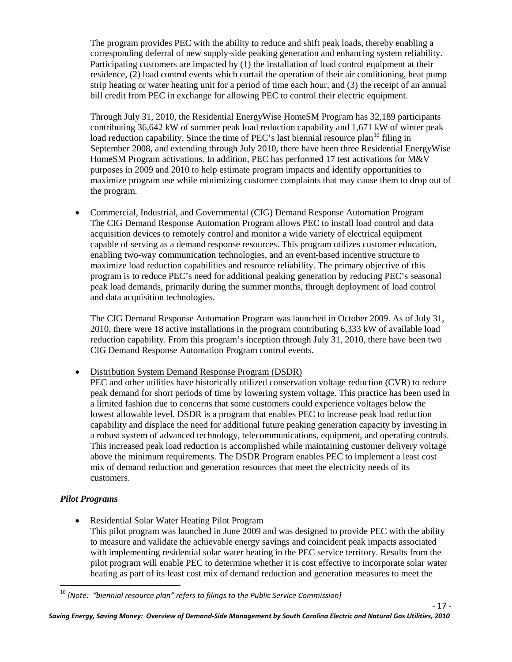The program provides PEC with the ability to reduce and shift peak loads, thereby enabling a corresponding deferral of new supply-side peaking generation and enhancing system reliability. Participating customers are impacted by (1) the installation of load control equipment at their residence, (2) load control events which curtail the operation of their air conditioning, heat pump strip heating or water heating unit for a period of time each hour, and (3) the receipt of an annual bill credit from PEC in exchange for allowing PEC to control their electric equipment.

Through July 31, 2010, the Residential EnergyWise HomeSM Program has 32,189 participants contributing 36,642 kW of summer peak load reduction capability and 1,671 kW of winter peak load reduction capability. Since the time of PEC's last biennial resource plan<sup>[10](#page-23-0)</sup> filing in September 2008, and extending through July 2010, there have been three Residential EnergyWise HomeSM Program activations. In addition, PEC has performed 17 test activations for M&V purposes in 2009 and 2010 to help estimate program impacts and identify opportunities to maximize program use while minimizing customer complaints that may cause them to drop out of the program.

• Commercial, Industrial, and Governmental (CIG) Demand Response Automation Program The CIG Demand Response Automation Program allows PEC to install load control and data acquisition devices to remotely control and monitor a wide variety of electrical equipment capable of serving as a demand response resources. This program utilizes customer education, enabling two-way communication technologies, and an event-based incentive structure to maximize load reduction capabilities and resource reliability. The primary objective of this program is to reduce PEC's need for additional peaking generation by reducing PEC's seasonal peak load demands, primarily during the summer months, through deployment of load control and data acquisition technologies.

The CIG Demand Response Automation Program was launched in October 2009. As of July 31, 2010, there were 18 active installations in the program contributing 6,333 kW of available load reduction capability. From this program's inception through July 31, 2010, there have been two CIG Demand Response Automation Program control events.

• Distribution System Demand Response Program (DSDR)

PEC and other utilities have historically utilized conservation voltage reduction (CVR) to reduce peak demand for short periods of time by lowering system voltage. This practice has been used in a limited fashion due to concerns that some customers could experience voltages below the lowest allowable level. DSDR is a program that enables PEC to increase peak load reduction capability and displace the need for additional future peaking generation capacity by investing in a robust system of advanced technology, telecommunications, equipment, and operating controls. This increased peak load reduction is accomplished while maintaining customer delivery voltage above the minimum requirements. The DSDR Program enables PEC to implement a least cost mix of demand reduction and generation resources that meet the electricity needs of its customers.

#### *Pilot Programs*

• Residential Solar Water Heating Pilot Program

This pilot program was launched in June 2009 and was designed to provide PEC with the ability to measure and validate the achievable energy savings and coincident peak impacts associated with implementing residential solar water heating in the PEC service territory. Results from the pilot program will enable PEC to determine whether it is cost effective to incorporate solar water heating as part of its least cost mix of demand reduction and generation measures to meet the

- 17 -

<span id="page-23-0"></span> <sup>10</sup> *[Note: "biennial resource plan" refers to filings to the Public Service Commission]*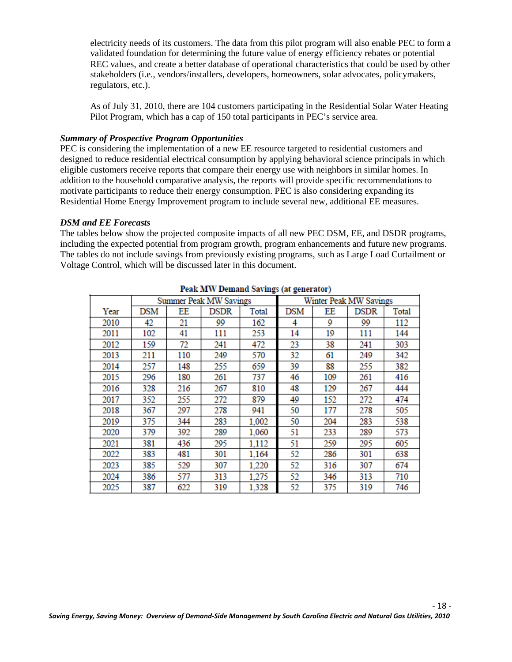electricity needs of its customers. The data from this pilot program will also enable PEC to form a validated foundation for determining the future value of energy efficiency rebates or potential REC values, and create a better database of operational characteristics that could be used by other stakeholders (i.e., vendors/installers, developers, homeowners, solar advocates, policymakers, regulators, etc.).

As of July 31, 2010, there are 104 customers participating in the Residential Solar Water Heating Pilot Program, which has a cap of 150 total participants in PEC's service area.

#### *Summary of Prospective Program Opportunities*

PEC is considering the implementation of a new EE resource targeted to residential customers and designed to reduce residential electrical consumption by applying behavioral science principals in which eligible customers receive reports that compare their energy use with neighbors in similar homes. In addition to the household comparative analysis, the reports will provide specific recommendations to motivate participants to reduce their energy consumption. PEC is also considering expanding its Residential Home Energy Improvement program to include several new, additional EE measures.

#### *DSM and EE Forecasts*

The tables below show the projected composite impacts of all new PEC DSM, EE, and DSDR programs, including the expected potential from program growth, program enhancements and future new programs. The tables do not include savings from previously existing programs, such as Large Load Curtailment or Voltage Control, which will be discussed later in this document.

|      |     |     | reak arve bemanu savings (at generator) |       |            |     |                        |              |
|------|-----|-----|-----------------------------------------|-------|------------|-----|------------------------|--------------|
|      |     |     | <b>Summer Peak MW Savings</b>           |       |            |     | Winter Peak MW Savings |              |
| Year | DSM | ΕE  | DSDR                                    | Total | <b>DSM</b> | EΕ  | <b>DSDR</b>            | <b>Total</b> |
| 2010 | 42  | 21  | 99                                      | 162   | 4          | 9   | 99                     | 112          |
| 2011 | 102 | 41  | 111                                     | 253   | 14         | 19  | 111                    | 144          |
| 2012 | 159 | 72  | 241                                     | 472   | 23         | 38  | 241                    | 303          |
| 2013 | 211 | 110 | 249                                     | 570   | 32         | 61  | 249                    | 342          |
| 2014 | 257 | 148 | 255                                     | 659   | 39         | 88  | 255                    | 382          |
| 2015 | 296 | 180 | 261                                     | 737   | 46         | 109 | 261                    | 416          |
| 2016 | 328 | 216 | 267                                     | 810   | 48         | 129 | 267                    | 444          |
| 2017 | 352 | 255 | 272                                     | 879   | 49         | 152 | 272                    | 474          |
| 2018 | 367 | 297 | 278                                     | 941   | 50         | 177 | 278                    | 505          |
| 2019 | 375 | 344 | 283                                     | 1,002 | 50         | 204 | 283                    | 538          |
| 2020 | 379 | 392 | 289                                     | 1,060 | 51         | 233 | 289                    | 573          |
| 2021 | 381 | 436 | 295                                     | 1,112 | 51         | 259 | 295                    | 605          |
| 2022 | 383 | 481 | 301                                     | 1,164 | 52         | 286 | 301                    | 638          |
| 2023 | 385 | 529 | 307                                     | 1,220 | 52         | 316 | 307                    | 674          |
| 2024 | 386 | 577 | 313                                     | 1.275 | 52         | 346 | 313                    | 710          |
| 2025 | 387 | 622 | 319                                     | 1,328 | 52         | 375 | 319                    | 746          |

| Peak MW Demand Savings (at generator) |
|---------------------------------------|
|---------------------------------------|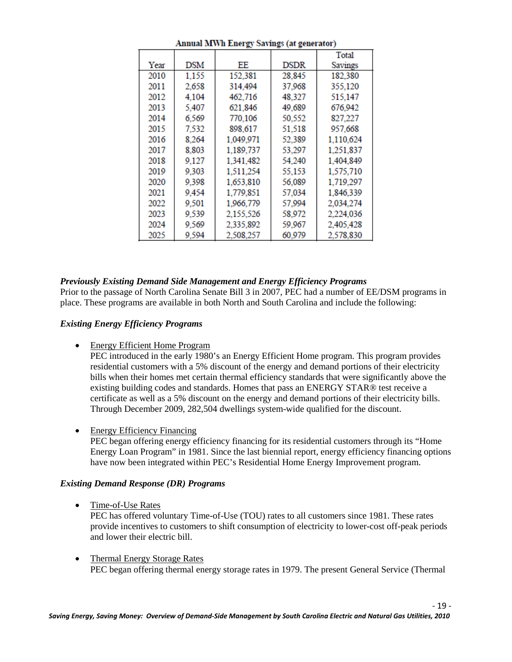|      |            |           |        | Total     |
|------|------------|-----------|--------|-----------|
| Year | <b>DSM</b> | ΕE        | DSDR   | Savings   |
| 2010 | 1.155      | 152,381   | 28,845 | 182,380   |
| 2011 | 2,658      | 314,494   | 37,968 | 355,120   |
| 2012 | 4.104      | 462.716   | 48.327 | 515.147   |
| 2013 | 5.407      | 621.846   | 49,689 | 676.942   |
| 2014 | 6.569      | 770,106   | 50,552 | 827,227   |
| 2015 | 7.532      | 898,617   | 51,518 | 957.668   |
| 2016 | 8.264      | 1,049,971 | 52,389 | 1,110,624 |
| 2017 | 8,803      | 1,189,737 | 53,297 | 1,251,837 |
| 2018 | 9,127      | 1,341,482 | 54.240 | 1,404,849 |
| 2019 | 9,303      | 1,511,254 | 55,153 | 1,575,710 |
| 2020 | 9,398      | 1,653,810 | 56,089 | 1,719,297 |
| 2021 | 9,454      | 1,779,851 | 57,034 | 1,846,339 |
| 2022 | 9,501      | 1,966,779 | 57,994 | 2,034,274 |
| 2023 | 9,539      | 2,155,526 | 58,972 | 2,224,036 |
| 2024 | 9,569      | 2,335,892 | 59,967 | 2,405,428 |
| 2025 | 9,594      | 2.508.257 | 60,979 | 2.578.830 |

#### **Annual MWh Energy Savings (at generator)**

#### *Previously Existing Demand Side Management and Energy Efficiency Programs*

Prior to the passage of North Carolina Senate Bill 3 in 2007, PEC had a number of EE/DSM programs in place. These programs are available in both North and South Carolina and include the following:

#### *Existing Energy Efficiency Programs*

• Energy Efficient Home Program

PEC introduced in the early 1980's an Energy Efficient Home program. This program provides residential customers with a 5% discount of the energy and demand portions of their electricity bills when their homes met certain thermal efficiency standards that were significantly above the existing building codes and standards. Homes that pass an ENERGY STAR® test receive a certificate as well as a 5% discount on the energy and demand portions of their electricity bills. Through December 2009, 282,504 dwellings system-wide qualified for the discount.

• Energy Efficiency Financing

PEC began offering energy efficiency financing for its residential customers through its "Home Energy Loan Program" in 1981. Since the last biennial report, energy efficiency financing options have now been integrated within PEC's Residential Home Energy Improvement program.

#### *Existing Demand Response (DR) Programs*

• Time-of-Use Rates

PEC has offered voluntary Time-of-Use (TOU) rates to all customers since 1981. These rates provide incentives to customers to shift consumption of electricity to lower-cost off-peak periods and lower their electric bill.

• Thermal Energy Storage Rates PEC began offering thermal energy storage rates in 1979. The present General Service (Thermal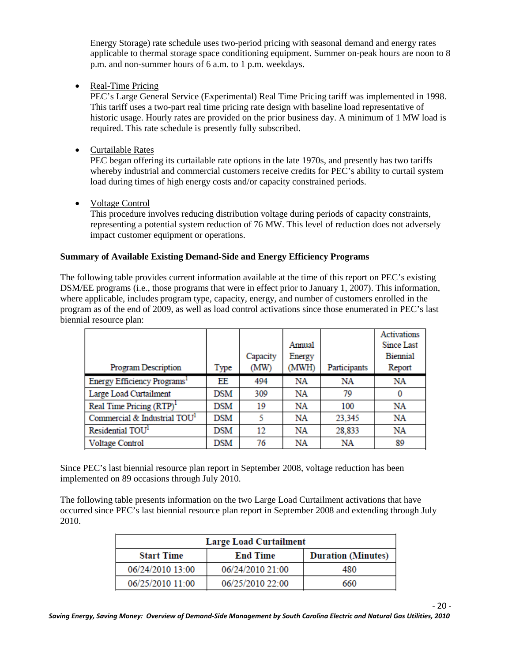Energy Storage) rate schedule uses two-period pricing with seasonal demand and energy rates applicable to thermal storage space conditioning equipment. Summer on-peak hours are noon to 8 p.m. and non-summer hours of 6 a.m. to 1 p.m. weekdays.

• Real-Time Pricing

PEC's Large General Service (Experimental) Real Time Pricing tariff was implemented in 1998. This tariff uses a two-part real time pricing rate design with baseline load representative of historic usage. Hourly rates are provided on the prior business day. A minimum of 1 MW load is required. This rate schedule is presently fully subscribed.

• Curtailable Rates

PEC began offering its curtailable rate options in the late 1970s, and presently has two tariffs whereby industrial and commercial customers receive credits for PEC's ability to curtail system load during times of high energy costs and/or capacity constrained periods.

• Voltage Control

This procedure involves reducing distribution voltage during periods of capacity constraints, representing a potential system reduction of 76 MW. This level of reduction does not adversely impact customer equipment or operations.

#### **Summary of Available Existing Demand-Side and Energy Efficiency Programs**

The following table provides current information available at the time of this report on PEC's existing DSM/EE programs (i.e., those programs that were in effect prior to January 1, 2007). This information, where applicable, includes program type, capacity, energy, and number of customers enrolled in the program as of the end of 2009, as well as load control activations since those enumerated in PEC's last biennial resource plan:

|                                          |      |          |        |              | <b>Activations</b> |
|------------------------------------------|------|----------|--------|--------------|--------------------|
|                                          |      |          | Annual |              | Since Last         |
|                                          |      | Capacity | Energy |              | <b>Biennial</b>    |
| Program Description                      | Type | (MW)     | (MWH)  | Participants | Report             |
| Energy Efficiency Programs <sup>1</sup>  | EE   | 494      | NA     | NA           | NA                 |
| Large Load Curtailment                   | DSM  | 309      | NA     | 79           |                    |
| Real Time Pricing (RTP) <sup>1</sup>     | DSM  | 19       | NA     | 100          | NA                 |
| Commercial & Industrial TOU <sup>1</sup> | DSM  | 5        | NΑ     | 23,345       | NA                 |
| Residential TOU <sup>1</sup>             | DSM  | 12       | NA     | 28,833       | NA                 |
| <b>Voltage Control</b>                   | DSM  | 76       | NA     | NA           | 89                 |

Since PEC's last biennial resource plan report in September 2008, voltage reduction has been implemented on 89 occasions through July 2010.

The following table presents information on the two Large Load Curtailment activations that have occurred since PEC's last biennial resource plan report in September 2008 and extending through July 2010.

|                   | <b>Large Load Curtailment</b> |                           |
|-------------------|-------------------------------|---------------------------|
| <b>Start Time</b> | <b>End Time</b>               | <b>Duration (Minutes)</b> |
| 06/24/2010 13:00  | 06/24/2010 21:00              | 480                       |
| 06/25/2010 11:00  | 06/25/2010 22:00              | 660                       |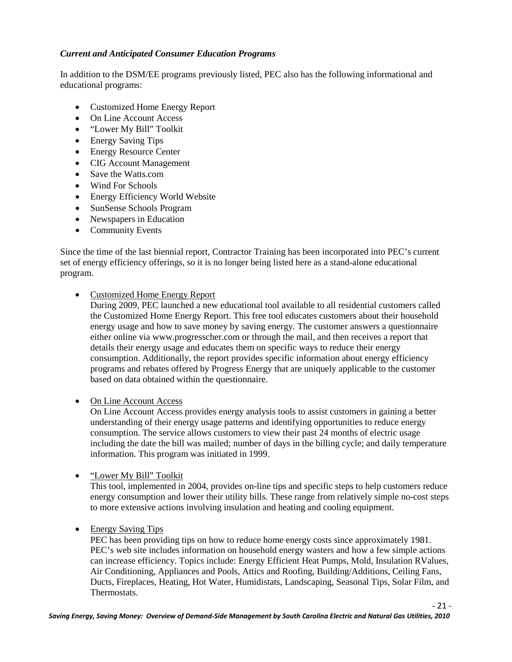#### *Current and Anticipated Consumer Education Programs*

In addition to the DSM/EE programs previously listed, PEC also has the following informational and educational programs:

- Customized Home Energy Report
- On Line Account Access
- "Lower My Bill" Toolkit
- Energy Saving Tips
- Energy Resource Center
- CIG Account Management
- Save the Watts.com
- Wind For Schools
- Energy Efficiency World Website
- SunSense Schools Program
- Newspapers in Education
- Community Events

Since the time of the last biennial report, Contractor Training has been incorporated into PEC's current set of energy efficiency offerings, so it is no longer being listed here as a stand-alone educational program.

• Customized Home Energy Report

During 2009, PEC launched a new educational tool available to all residential customers called the Customized Home Energy Report. This free tool educates customers about their household energy usage and how to save money by saving energy. The customer answers a questionnaire either online via www.progresscher.com or through the mail, and then receives a report that details their energy usage and educates them on specific ways to reduce their energy consumption. Additionally, the report provides specific information about energy efficiency programs and rebates offered by Progress Energy that are uniquely applicable to the customer based on data obtained within the questionnaire.

• On Line Account Access

On Line Account Access provides energy analysis tools to assist customers in gaining a better understanding of their energy usage patterns and identifying opportunities to reduce energy consumption. The service allows customers to view their past 24 months of electric usage including the date the bill was mailed; number of days in the billing cycle; and daily temperature information. This program was initiated in 1999.

• "Lower My Bill" Toolkit

This tool, implemented in 2004, provides on-line tips and specific steps to help customers reduce energy consumption and lower their utility bills. These range from relatively simple no-cost steps to more extensive actions involving insulation and heating and cooling equipment.

• Energy Saving Tips

PEC has been providing tips on how to reduce home energy costs since approximately 1981. PEC's web site includes information on household energy wasters and how a few simple actions can increase efficiency. Topics include: Energy Efficient Heat Pumps, Mold, Insulation RValues, Air Conditioning, Appliances and Pools, Attics and Roofing, Building/Additions, Ceiling Fans, Ducts, Fireplaces, Heating, Hot Water, Humidistats, Landscaping, Seasonal Tips, Solar Film, and Thermostats.

- 21 -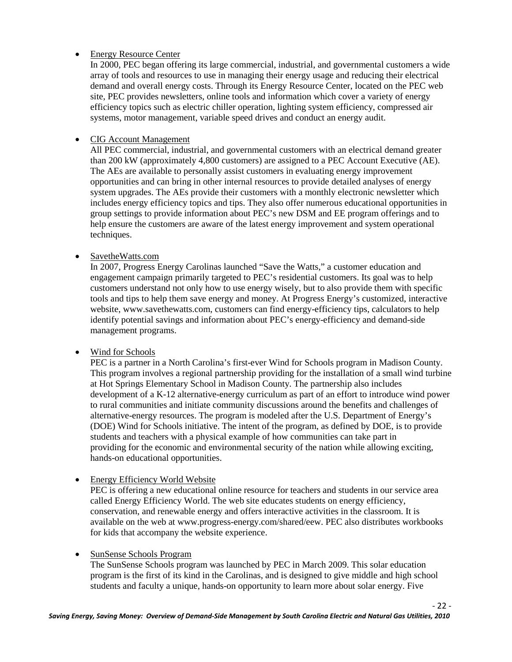#### • Energy Resource Center

In 2000, PEC began offering its large commercial, industrial, and governmental customers a wide array of tools and resources to use in managing their energy usage and reducing their electrical demand and overall energy costs. Through its Energy Resource Center, located on the PEC web site, PEC provides newsletters, online tools and information which cover a variety of energy efficiency topics such as electric chiller operation, lighting system efficiency, compressed air systems, motor management, variable speed drives and conduct an energy audit.

#### • CIG Account Management

All PEC commercial, industrial, and governmental customers with an electrical demand greater than 200 kW (approximately 4,800 customers) are assigned to a PEC Account Executive (AE). The AEs are available to personally assist customers in evaluating energy improvement opportunities and can bring in other internal resources to provide detailed analyses of energy system upgrades. The AEs provide their customers with a monthly electronic newsletter which includes energy efficiency topics and tips. They also offer numerous educational opportunities in group settings to provide information about PEC's new DSM and EE program offerings and to help ensure the customers are aware of the latest energy improvement and system operational techniques.

#### • SavetheWatts.com

In 2007, Progress Energy Carolinas launched "Save the Watts," a customer education and engagement campaign primarily targeted to PEC's residential customers. Its goal was to help customers understand not only how to use energy wisely, but to also provide them with specific tools and tips to help them save energy and money. At Progress Energy's customized, interactive website, www.savethewatts.com, customers can find energy-efficiency tips, calculators to help identify potential savings and information about PEC's energy-efficiency and demand-side management programs.

#### • Wind for Schools

PEC is a partner in a North Carolina's first-ever Wind for Schools program in Madison County. This program involves a regional partnership providing for the installation of a small wind turbine at Hot Springs Elementary School in Madison County. The partnership also includes development of a K-12 alternative-energy curriculum as part of an effort to introduce wind power to rural communities and initiate community discussions around the benefits and challenges of alternative-energy resources. The program is modeled after the U.S. Department of Energy's (DOE) Wind for Schools initiative. The intent of the program, as defined by DOE, is to provide students and teachers with a physical example of how communities can take part in providing for the economic and environmental security of the nation while allowing exciting, hands-on educational opportunities.

• Energy Efficiency World Website

PEC is offering a new educational online resource for teachers and students in our service area called Energy Efficiency World. The web site educates students on energy efficiency, conservation, and renewable energy and offers interactive activities in the classroom. It is available on the web at www.progress-energy.com/shared/eew. PEC also distributes workbooks for kids that accompany the website experience.

#### • SunSense Schools Program

The SunSense Schools program was launched by PEC in March 2009. This solar education program is the first of its kind in the Carolinas, and is designed to give middle and high school students and faculty a unique, hands-on opportunity to learn more about solar energy. Five

- 22 -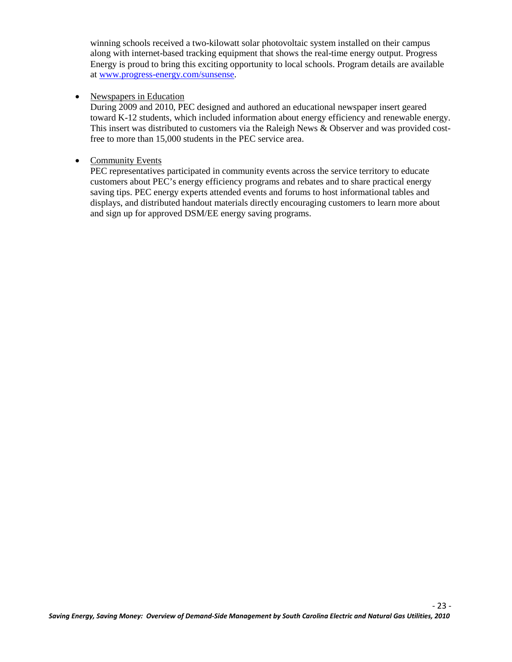winning schools received a two-kilowatt solar photovoltaic system installed on their campus along with internet-based tracking equipment that shows the real-time energy output. Progress Energy is proud to bring this exciting opportunity to local schools. Program details are available at [www.progress-energy.com/sunsense.](http://www.progress-energy.com/sunsense)

#### • Newspapers in Education

During 2009 and 2010, PEC designed and authored an educational newspaper insert geared toward K-12 students, which included information about energy efficiency and renewable energy. This insert was distributed to customers via the Raleigh News & Observer and was provided costfree to more than 15,000 students in the PEC service area.

#### • Community Events

PEC representatives participated in community events across the service territory to educate customers about PEC's energy efficiency programs and rebates and to share practical energy saving tips. PEC energy experts attended events and forums to host informational tables and displays, and distributed handout materials directly encouraging customers to learn more about and sign up for approved DSM/EE energy saving programs.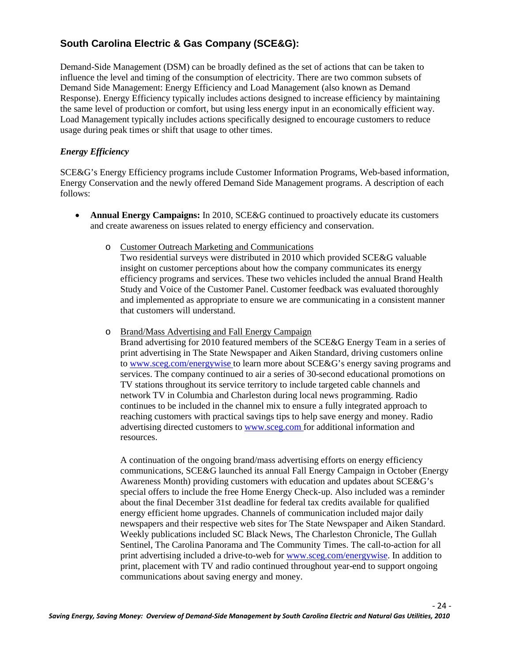#### **South Carolina Electric & Gas Company (SCE&G):**

Demand-Side Management (DSM) can be broadly defined as the set of actions that can be taken to influence the level and timing of the consumption of electricity. There are two common subsets of Demand Side Management: Energy Efficiency and Load Management (also known as Demand Response). Energy Efficiency typically includes actions designed to increase efficiency by maintaining the same level of production or comfort, but using less energy input in an economically efficient way. Load Management typically includes actions specifically designed to encourage customers to reduce usage during peak times or shift that usage to other times.

#### *Energy Efficiency*

SCE&G's Energy Efficiency programs include Customer Information Programs, Web-based information, Energy Conservation and the newly offered Demand Side Management programs. A description of each follows:

- **Annual Energy Campaigns:** In 2010, SCE&G continued to proactively educate its customers and create awareness on issues related to energy efficiency and conservation.
	- o Customer Outreach Marketing and Communications

Two residential surveys were distributed in 2010 which provided SCE&G valuable insight on customer perceptions about how the company communicates its energy efficiency programs and services. These two vehicles included the annual Brand Health Study and Voice of the Customer Panel. Customer feedback was evaluated thoroughly and implemented as appropriate to ensure we are communicating in a consistent manner that customers will understand.

o Brand/Mass Advertising and Fall Energy Campaign

Brand advertising for 2010 featured members of the SCE&G Energy Team in a series of print advertising in The State Newspaper and Aiken Standard, driving customers online to www.sceg.com/energywise to learn more about SCE&G's energy saving programs and services. The company continued to air a series of 30-second educational promotions on TV stations throughout its service territory to include targeted cable channels and network TV in Columbia and Charleston during local news programming. Radio continues to be included in the channel mix to ensure a fully integrated approach to reaching customers with practical savings tips to help save energy and money. Radio advertising directed customers to www.sceg.com for additional information and resources.

A continuation of the ongoing brand/mass advertising efforts on energy efficiency communications, SCE&G launched its annual Fall Energy Campaign in October (Energy Awareness Month) providing customers with education and updates about SCE&G's special offers to include the free Home Energy Check-up. Also included was a reminder about the final December 31st deadline for federal tax credits available for qualified energy efficient home upgrades. Channels of communication included major daily newspapers and their respective web sites for The State Newspaper and Aiken Standard. Weekly publications included SC Black News, The Charleston Chronicle, The Gullah Sentinel, The Carolina Panorama and The Community Times. The call-to-action for all print advertising included a drive-to-web for www.sceg.com/energywise. In addition to print, placement with TV and radio continued throughout year-end to support ongoing communications about saving energy and money.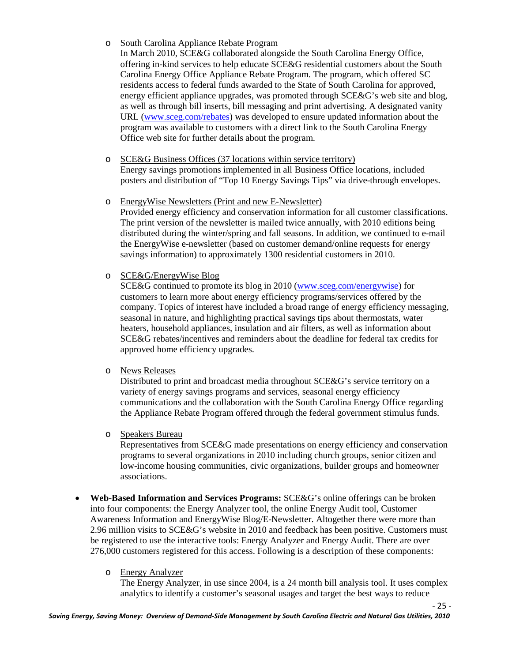#### o South Carolina Appliance Rebate Program

In March 2010, SCE&G collaborated alongside the South Carolina Energy Office, offering in-kind services to help educate SCE&G residential customers about the South Carolina Energy Office Appliance Rebate Program. The program, which offered SC residents access to federal funds awarded to the State of South Carolina for approved, energy efficient appliance upgrades, was promoted through SCE&G's web site and blog, as well as through bill inserts, bill messaging and print advertising. A designated vanity URL (www.sceg.com/rebates) was developed to ensure updated information about the program was available to customers with a direct link to the South Carolina Energy Office web site for further details about the program.

- o SCE&G Business Offices (37 locations within service territory) Energy savings promotions implemented in all Business Office locations, included posters and distribution of "Top 10 Energy Savings Tips" via drive-through envelopes.
- o EnergyWise Newsletters (Print and new E-Newsletter) Provided energy efficiency and conservation information for all customer classifications. The print version of the newsletter is mailed twice annually, with 2010 editions being distributed during the winter/spring and fall seasons. In addition, we continued to e-mail the EnergyWise e-newsletter (based on customer demand/online requests for energy savings information) to approximately 1300 residential customers in 2010.

#### o SCE&G/EnergyWise Blog

SCE&G continued to promote its blog in 2010 (www.sceg.com/energywise) for customers to learn more about energy efficiency programs/services offered by the company. Topics of interest have included a broad range of energy efficiency messaging, seasonal in nature, and highlighting practical savings tips about thermostats, water heaters, household appliances, insulation and air filters, as well as information about SCE&G rebates/incentives and reminders about the deadline for federal tax credits for approved home efficiency upgrades.

#### o News Releases

Distributed to print and broadcast media throughout SCE&G's service territory on a variety of energy savings programs and services, seasonal energy efficiency communications and the collaboration with the South Carolina Energy Office regarding the Appliance Rebate Program offered through the federal government stimulus funds.

#### o Speakers Bureau

Representatives from SCE&G made presentations on energy efficiency and conservation programs to several organizations in 2010 including church groups, senior citizen and low-income housing communities, civic organizations, builder groups and homeowner associations.

• **Web-Based Information and Services Programs:** SCE&G's online offerings can be broken into four components: the Energy Analyzer tool, the online Energy Audit tool, Customer Awareness Information and EnergyWise Blog/E-Newsletter. Altogether there were more than 2.96 million visits to SCE&G's website in 2010 and feedback has been positive. Customers must be registered to use the interactive tools: Energy Analyzer and Energy Audit. There are over 276,000 customers registered for this access. Following is a description of these components:

#### o Energy Analyzer

The Energy Analyzer, in use since 2004, is a 24 month bill analysis tool. It uses complex analytics to identify a customer's seasonal usages and target the best ways to reduce

- 25 -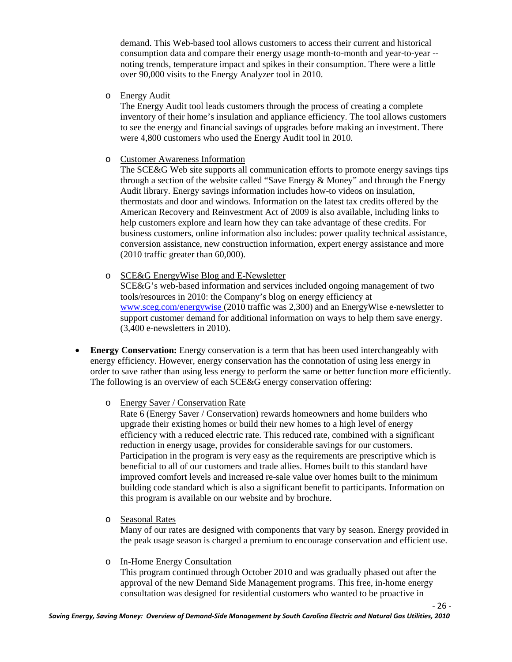demand. This Web-based tool allows customers to access their current and historical consumption data and compare their energy usage month-to-month and year-to-year - noting trends, temperature impact and spikes in their consumption. There were a little over 90,000 visits to the Energy Analyzer tool in 2010.

o Energy Audit

The Energy Audit tool leads customers through the process of creating a complete inventory of their home's insulation and appliance efficiency. The tool allows customers to see the energy and financial savings of upgrades before making an investment. There were 4,800 customers who used the Energy Audit tool in 2010.

#### o Customer Awareness Information

The SCE&G Web site supports all communication efforts to promote energy savings tips through a section of the website called "Save Energy & Money" and through the Energy Audit library. Energy savings information includes how-to videos on insulation, thermostats and door and windows. Information on the latest tax credits offered by the American Recovery and Reinvestment Act of 2009 is also available, including links to help customers explore and learn how they can take advantage of these credits. For business customers, online information also includes: power quality technical assistance, conversion assistance, new construction information, expert energy assistance and more (2010 traffic greater than 60,000).

o SCE&G EnergyWise Blog and E-Newsletter

SCE&G's web-based information and services included ongoing management of two tools/resources in 2010: the Company's blog on energy efficiency at www.sceg.com/energywise (2010 traffic was 2,300) and an EnergyWise e-newsletter to support customer demand for additional information on ways to help them save energy. (3,400 e-newsletters in 2010).

• **Energy Conservation:** Energy conservation is a term that has been used interchangeably with energy efficiency. However, energy conservation has the connotation of using less energy in order to save rather than using less energy to perform the same or better function more efficiently. The following is an overview of each SCE&G energy conservation offering:

#### o Energy Saver / Conservation Rate

Rate 6 (Energy Saver / Conservation) rewards homeowners and home builders who upgrade their existing homes or build their new homes to a high level of energy efficiency with a reduced electric rate. This reduced rate, combined with a significant reduction in energy usage, provides for considerable savings for our customers. Participation in the program is very easy as the requirements are prescriptive which is beneficial to all of our customers and trade allies. Homes built to this standard have improved comfort levels and increased re-sale value over homes built to the minimum building code standard which is also a significant benefit to participants. Information on this program is available on our website and by brochure.

o Seasonal Rates

Many of our rates are designed with components that vary by season. Energy provided in the peak usage season is charged a premium to encourage conservation and efficient use.

o In-Home Energy Consultation

This program continued through October 2010 and was gradually phased out after the approval of the new Demand Side Management programs. This free, in-home energy consultation was designed for residential customers who wanted to be proactive in

- 26 -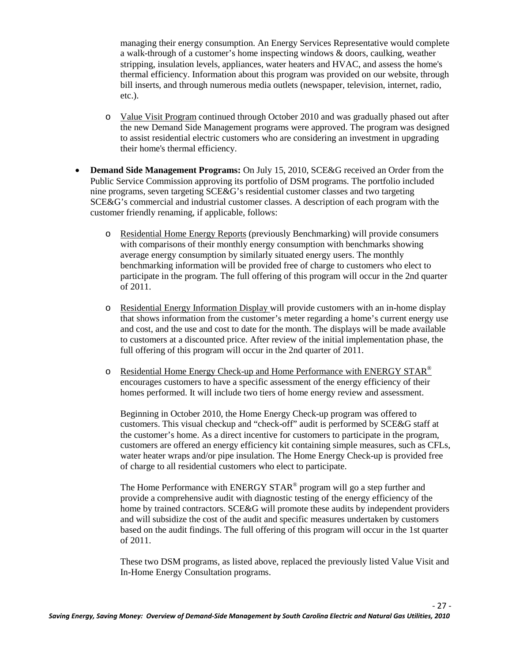managing their energy consumption. An Energy Services Representative would complete a walk-through of a customer's home inspecting windows & doors, caulking, weather stripping, insulation levels, appliances, water heaters and HVAC, and assess the home's thermal efficiency. Information about this program was provided on our website, through bill inserts, and through numerous media outlets (newspaper, television, internet, radio, etc.).

- o Value Visit Program continued through October 2010 and was gradually phased out after the new Demand Side Management programs were approved. The program was designed to assist residential electric customers who are considering an investment in upgrading their home's thermal efficiency.
- **Demand Side Management Programs:** On July 15, 2010, SCE&G received an Order from the Public Service Commission approving its portfolio of DSM programs. The portfolio included nine programs, seven targeting SCE&G's residential customer classes and two targeting SCE&G's commercial and industrial customer classes. A description of each program with the customer friendly renaming, if applicable, follows:
	- o Residential Home Energy Reports (previously Benchmarking) will provide consumers with comparisons of their monthly energy consumption with benchmarks showing average energy consumption by similarly situated energy users. The monthly benchmarking information will be provided free of charge to customers who elect to participate in the program. The full offering of this program will occur in the 2nd quarter of 2011.
	- o Residential Energy Information Display will provide customers with an in-home display that shows information from the customer's meter regarding a home's current energy use and cost, and the use and cost to date for the month. The displays will be made available to customers at a discounted price. After review of the initial implementation phase, the full offering of this program will occur in the 2nd quarter of 2011.
	- o Residential Home Energy Check-up and Home Performance with ENERGY STAR® encourages customers to have a specific assessment of the energy efficiency of their homes performed. It will include two tiers of home energy review and assessment.

Beginning in October 2010, the Home Energy Check-up program was offered to customers. This visual checkup and "check-off" audit is performed by SCE&G staff at the customer's home. As a direct incentive for customers to participate in the program, customers are offered an energy efficiency kit containing simple measures, such as CFLs, water heater wraps and/or pipe insulation. The Home Energy Check-up is provided free of charge to all residential customers who elect to participate.

The Home Performance with ENERGY STAR® program will go a step further and provide a comprehensive audit with diagnostic testing of the energy efficiency of the home by trained contractors. SCE&G will promote these audits by independent providers and will subsidize the cost of the audit and specific measures undertaken by customers based on the audit findings. The full offering of this program will occur in the 1st quarter of 2011.

These two DSM programs, as listed above, replaced the previously listed Value Visit and In-Home Energy Consultation programs.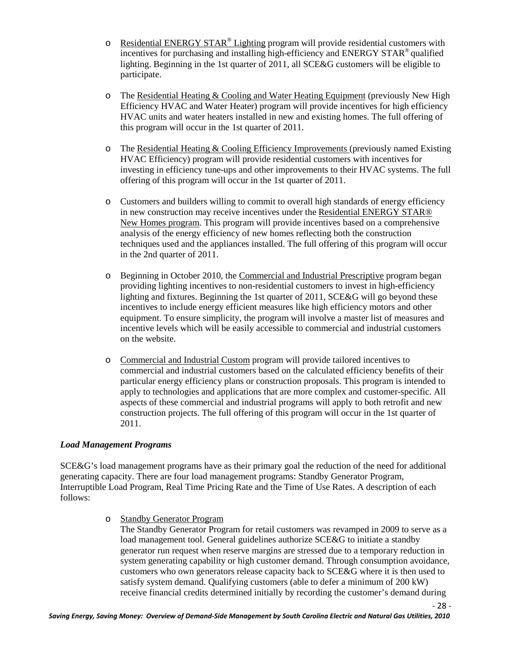- $\circ$  Residential ENERGY STAR<sup>®</sup> Lighting program will provide residential customers with incentives for purchasing and installing high-efficiency and ENERGY STAR® qualified lighting. Beginning in the 1st quarter of 2011, all SCE&G customers will be eligible to participate.
- o The Residential Heating & Cooling and Water Heating Equipment (previously New High Efficiency HVAC and Water Heater) program will provide incentives for high efficiency HVAC units and water heaters installed in new and existing homes. The full offering of this program will occur in the 1st quarter of 2011.
- o The Residential Heating & Cooling Efficiency Improvements (previously named Existing HVAC Efficiency) program will provide residential customers with incentives for investing in efficiency tune-ups and other improvements to their HVAC systems. The full offering of this program will occur in the 1st quarter of 2011.
- o Customers and builders willing to commit to overall high standards of energy efficiency in new construction may receive incentives under the Residential ENERGY STAR® New Homes program. This program will provide incentives based on a comprehensive analysis of the energy efficiency of new homes reflecting both the construction techniques used and the appliances installed. The full offering of this program will occur in the 2nd quarter of 2011.
- o Beginning in October 2010, the Commercial and Industrial Prescriptive program began providing lighting incentives to non-residential customers to invest in high-efficiency lighting and fixtures. Beginning the 1st quarter of 2011, SCE&G will go beyond these incentives to include energy efficient measures like high efficiency motors and other equipment. To ensure simplicity, the program will involve a master list of measures and incentive levels which will be easily accessible to commercial and industrial customers on the website.
- o Commercial and Industrial Custom program will provide tailored incentives to commercial and industrial customers based on the calculated efficiency benefits of their particular energy efficiency plans or construction proposals. This program is intended to apply to technologies and applications that are more complex and customer-specific. All aspects of these commercial and industrial programs will apply to both retrofit and new construction projects. The full offering of this program will occur in the 1st quarter of 2011.

#### *Load Management Programs*

SCE&G's load management programs have as their primary goal the reduction of the need for additional generating capacity. There are four load management programs: Standby Generator Program, Interruptible Load Program, Real Time Pricing Rate and the Time of Use Rates. A description of each follows:

o Standby Generator Program

The Standby Generator Program for retail customers was revamped in 2009 to serve as a load management tool. General guidelines authorize SCE&G to initiate a standby generator run request when reserve margins are stressed due to a temporary reduction in system generating capability or high customer demand. Through consumption avoidance, customers who own generators release capacity back to SCE&G where it is then used to satisfy system demand. Qualifying customers (able to defer a minimum of 200 kW) receive financial credits determined initially by recording the customer's demand during

- 28 -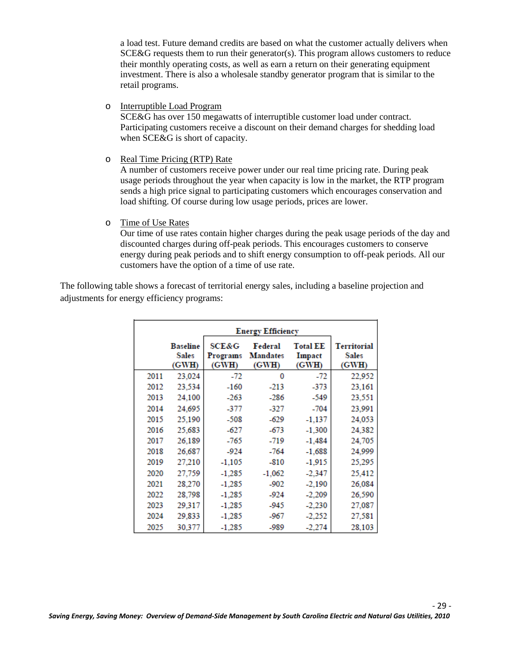a load test. Future demand credits are based on what the customer actually delivers when  $SCE&G$  requests them to run their generator(s). This program allows customers to reduce their monthly operating costs, as well as earn a return on their generating equipment investment. There is also a wholesale standby generator program that is similar to the retail programs.

o Interruptible Load Program

SCE&G has over 150 megawatts of interruptible customer load under contract. Participating customers receive a discount on their demand charges for shedding load when SCE&G is short of capacity.

o Real Time Pricing (RTP) Rate

A number of customers receive power under our real time pricing rate. During peak usage periods throughout the year when capacity is low in the market, the RTP program sends a high price signal to participating customers which encourages conservation and load shifting. Of course during low usage periods, prices are lower.

o Time of Use Rates

Our time of use rates contain higher charges during the peak usage periods of the day and discounted charges during off-peak periods. This encourages customers to conserve energy during peak periods and to shift energy consumption to off-peak periods. All our customers have the option of a time of use rate.

The following table shows a forecast of territorial energy sales, including a baseline projection and adjustments for energy efficiency programs:

|      |                                          |                                       | <b>Energy Efficiency</b>            |                                    |                                             |
|------|------------------------------------------|---------------------------------------|-------------------------------------|------------------------------------|---------------------------------------------|
|      | <b>Baseline</b><br><b>Sales</b><br>(GWH) | <b>SCE&amp;G</b><br>Programs<br>(GWH) | Federal<br><b>Mandates</b><br>(GWH) | <b>Total EE</b><br>Impact<br>(GWH) | <b>Territorial</b><br><b>Sales</b><br>(GWH) |
| 2011 | 23,024                                   | -72                                   | 0                                   | -72                                | 22,952                                      |
| 2012 | 23,534                                   | $-160$                                | $-213$                              | $-373$                             | 23,161                                      |
| 2013 | 24,100                                   | $-263$                                | -286                                | $-549$                             | 23,551                                      |
| 2014 | 24,695                                   | -377                                  | -327                                | $-704$                             | 23,991                                      |
| 2015 | 25,190                                   | -508                                  | -629                                | $-1,137$                           | 24,053                                      |
| 2016 | 25,683                                   | -627                                  | -673                                | $-1,300$                           | 24,382                                      |
| 2017 | 26.189                                   | -765                                  | $-719$                              | $-1.484$                           | 24,705                                      |
| 2018 | 26,687                                   | -924                                  | $-764$                              | $-1,688$                           | 24,999                                      |
| 2019 | 27,210                                   | $-1,105$                              | $-810$                              | $-1,915$                           | 25,295                                      |
| 2020 | 27,759                                   | $-1,285$                              | $-1,062$                            | $-2,347$                           | 25,412                                      |
| 2021 | 28,270                                   | $-1,285$                              | -902                                | $-2,190$                           | 26,084                                      |
| 2022 | 28,798                                   | $-1,285$                              | -924                                | $-2,209$                           | 26,590                                      |
| 2023 | 29,317                                   | $-1,285$                              | -945                                | $-2,230$                           | 27,087                                      |
| 2024 | 29,833                                   | $-1,285$                              | -967                                | $-2,252$                           | 27,581                                      |
| 2025 | 30,377                                   | $-1,285$                              | -989                                | $-2,274$                           | 28,103                                      |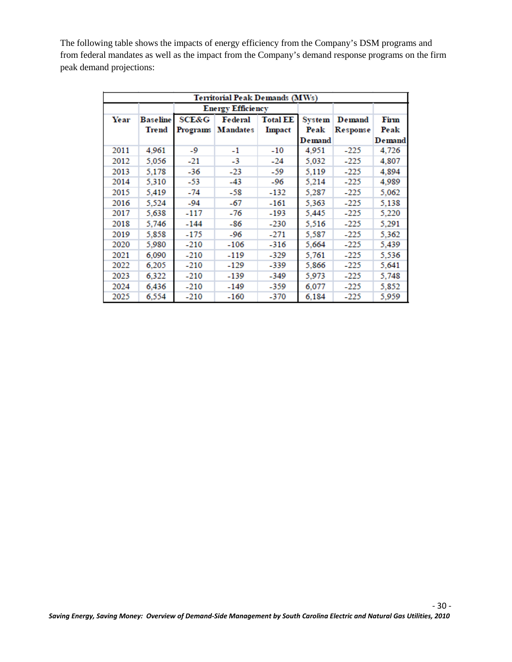The following table shows the impacts of energy efficiency from the Company's DSM programs and from federal mandates as well as the impact from the Company's demand response programs on the firm peak demand projections:

| Territorial Peak Demands (MWs) |                 |                  |                          |                 |               |          |        |
|--------------------------------|-----------------|------------------|--------------------------|-----------------|---------------|----------|--------|
|                                |                 |                  | <b>Energy Efficiency</b> |                 |               |          |        |
| Year                           | <b>Baseline</b> | <b>SCE&amp;G</b> | Federal                  | <b>Total EE</b> | <b>System</b> | Demand   | Firm   |
|                                | <b>Trend</b>    | Programs         | <b>Mandates</b>          | <b>Impact</b>   | Peak          | Response | Peak   |
|                                |                 |                  |                          |                 | Demand        |          | Demand |
| 2011                           | 4,961           | -9               | $-1$                     | $-10$           | 4,951         | $-225$   | 4,726  |
| 2012                           | 5,056           | -21              | -3                       | $-24$           | 5,032         | $-225$   | 4,807  |
| 2013                           | 5,178           | -36              | $-23$                    | -59             | 5,119         | $-225$   | 4,894  |
| 2014                           | 5,310           | -53              | -43                      | -96             | 5,214         | $-225$   | 4,989  |
| 2015                           | 5,419           | -74              | -58                      | -132            | 5.287         | $-225$   | 5,062  |
| 2016                           | 5,524           | $-94$            | -67                      | -161            | 5,363         | $-225$   | 5,138  |
| 2017                           | 5,638           | -117             | -76                      | -193            | 5,445         | $-225$   | 5,220  |
| 2018                           | 5.746           | $-144$           | -86                      | -230            | 5,516         | $-225$   | 5,291  |
| 2019                           | 5,858           | -175             | -96                      | $-271$          | 5,587         | $-225$   | 5,362  |
| 2020                           | 5,980           | $-210$           | -106                     | -316            | 5,664         | -225     | 5,439  |
| 2021                           | 6,090           | $-210$           | -119                     | -329            | 5.761         | $-225$   | 5,536  |
| 2022                           | 6,205           | $-210$           | -129                     | -339            | 5,866         | $-225$   | 5,641  |
| 2023                           | 6,322           | $-210$           | -139                     | -349            | 5,973         | $-225$   | 5,748  |
| 2024                           | 6,436           | $-210$           | -149                     | -359            | 6,077         | $-225$   | 5,852  |
| 2025                           | 6,554           | $-210$           | -160                     | -370            | 6.184         | -225     | 5.959  |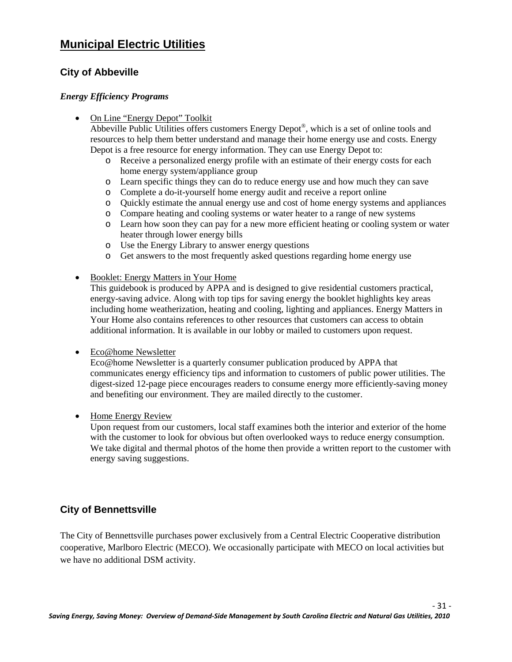## **Municipal Electric Utilities**

#### **City of Abbeville**

#### *Energy Efficiency Programs*

• On Line "Energy Depot" Toolkit

Abbeville Public Utilities offers customers Energy Depot®, which is a set of online tools and resources to help them better understand and manage their home energy use and costs. Energy Depot is a free resource for energy information. They can use Energy Depot to:

- o Receive a personalized energy profile with an estimate of their energy costs for each home energy system/appliance group
- o Learn specific things they can do to reduce energy use and how much they can save
- o Complete a do-it-yourself home energy audit and receive a report online
- o Quickly estimate the annual energy use and cost of home energy systems and appliances
- o Compare heating and cooling systems or water heater to a range of new systems
- o Learn how soon they can pay for a new more efficient heating or cooling system or water heater through lower energy bills
- o Use the Energy Library to answer energy questions
- o Get answers to the most frequently asked questions regarding home energy use
- Booklet: Energy Matters in Your Home

This guidebook is produced by APPA and is designed to give residential customers practical, energy-saving advice. Along with top tips for saving energy the booklet highlights key areas including home weatherization, heating and cooling, lighting and appliances. Energy Matters in Your Home also contains references to other resources that customers can access to obtain additional information. It is available in our lobby or mailed to customers upon request.

• Eco@home Newsletter

Eco@home Newsletter is a quarterly consumer publication produced by APPA that communicates energy efficiency tips and information to customers of public power utilities. The digest-sized 12-page piece encourages readers to consume energy more efficiently-saving money and benefiting our environment. They are mailed directly to the customer.

• Home Energy Review

Upon request from our customers, local staff examines both the interior and exterior of the home with the customer to look for obvious but often overlooked ways to reduce energy consumption. We take digital and thermal photos of the home then provide a written report to the customer with energy saving suggestions.

#### **City of Bennettsville**

The City of Bennettsville purchases power exclusively from a Central Electric Cooperative distribution cooperative, Marlboro Electric (MECO). We occasionally participate with MECO on local activities but we have no additional DSM activity.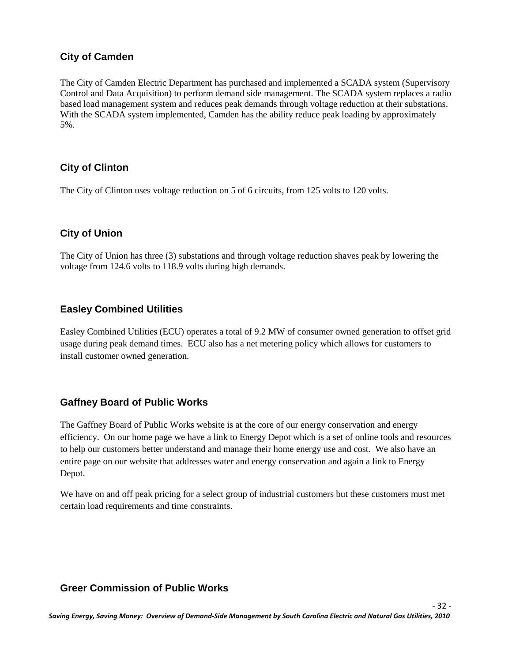#### **City of Camden**

The City of Camden Electric Department has purchased and implemented a SCADA system (Supervisory Control and Data Acquisition) to perform demand side management. The SCADA system replaces a radio based load management system and reduces peak demands through voltage reduction at their substations. With the SCADA system implemented, Camden has the ability reduce peak loading by approximately 5%.

#### **City of Clinton**

The City of Clinton uses voltage reduction on 5 of 6 circuits, from 125 volts to 120 volts.

#### **City of Union**

The City of Union has three (3) substations and through voltage reduction shaves peak by lowering the voltage from 124.6 volts to 118.9 volts during high demands.

#### **Easley Combined Utilities**

Easley Combined Utilities (ECU) operates a total of 9.2 MW of consumer owned generation to offset grid usage during peak demand times. ECU also has a net metering policy which allows for customers to install customer owned generation.

#### **Gaffney Board of Public Works**

The Gaffney Board of Public Works website is at the core of our energy conservation and energy efficiency. On our home page we have a link to Energy Depot which is a set of online tools and resources to help our customers better understand and manage their home energy use and cost. We also have an entire page on our website that addresses water and energy conservation and again a link to Energy Depot.

We have on and off peak pricing for a select group of industrial customers but these customers must met certain load requirements and time constraints.

#### **Greer Commission of Public Works**

- 32 -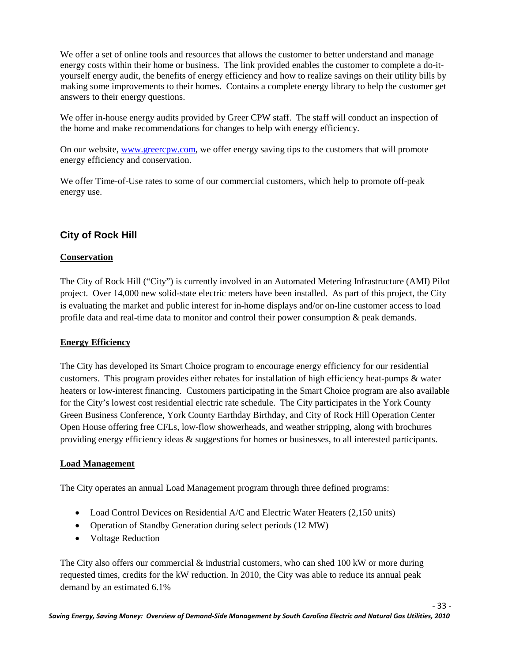We offer a set of online tools and resources that allows the customer to better understand and manage energy costs within their home or business. The link provided enables the customer to complete a do-ityourself energy audit, the benefits of energy efficiency and how to realize savings on their utility bills by making some improvements to their homes. Contains a complete energy library to help the customer get answers to their energy questions.

We offer in-house energy audits provided by Greer CPW staff. The staff will conduct an inspection of the home and make recommendations for changes to help with energy efficiency.

On our website[, www.greercpw.com,](http://www.greercpw.com/) we offer energy saving tips to the customers that will promote energy efficiency and conservation.

We offer Time-of-Use rates to some of our commercial customers, which help to promote off-peak energy use.

#### **City of Rock Hill**

#### **Conservation**

The City of Rock Hill ("City") is currently involved in an Automated Metering Infrastructure (AMI) Pilot project. Over 14,000 new solid-state electric meters have been installed. As part of this project, the City is evaluating the market and public interest for in-home displays and/or on-line customer access to load profile data and real-time data to monitor and control their power consumption & peak demands.

#### **Energy Efficiency**

The City has developed its Smart Choice program to encourage energy efficiency for our residential customers. This program provides either rebates for installation of high efficiency heat-pumps & water heaters or low-interest financing. Customers participating in the Smart Choice program are also available for the City's lowest cost residential electric rate schedule. The City participates in the York County Green Business Conference, York County Earthday Birthday, and City of Rock Hill Operation Center Open House offering free CFLs, low-flow showerheads, and weather stripping, along with brochures providing energy efficiency ideas & suggestions for homes or businesses, to all interested participants.

#### **Load Management**

The City operates an annual Load Management program through three defined programs:

- Load Control Devices on Residential A/C and Electric Water Heaters (2,150 units)
- Operation of Standby Generation during select periods (12 MW)
- Voltage Reduction

The City also offers our commercial  $\&$  industrial customers, who can shed 100 kW or more during requested times, credits for the kW reduction. In 2010, the City was able to reduce its annual peak demand by an estimated 6.1%

- 33 -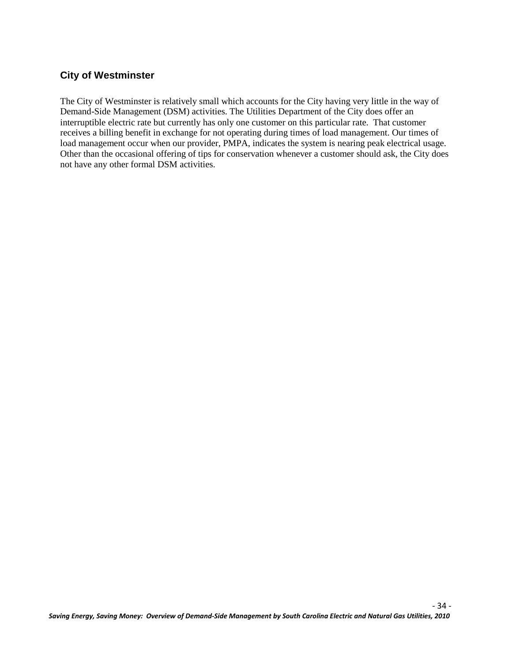#### **City of Westminster**

The City of Westminster is relatively small which accounts for the City having very little in the way of Demand-Side Management (DSM) activities. The Utilities Department of the City does offer an interruptible electric rate but currently has only one customer on this particular rate. That customer receives a billing benefit in exchange for not operating during times of load management. Our times of load management occur when our provider, PMPA, indicates the system is nearing peak electrical usage. Other than the occasional offering of tips for conservation whenever a customer should ask, the City does not have any other formal DSM activities.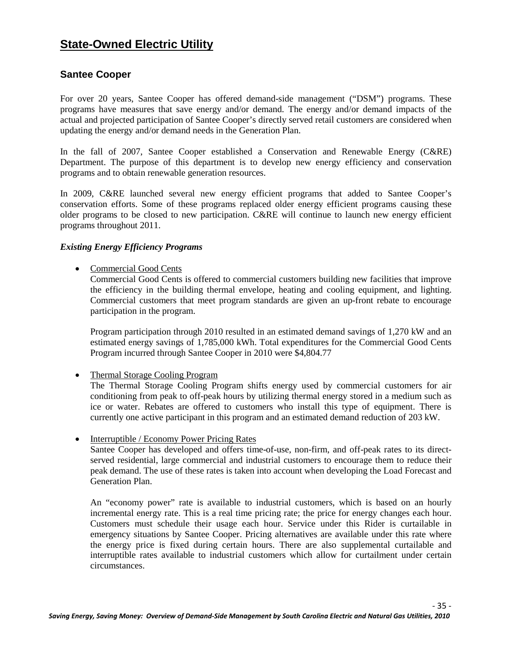## **State-Owned Electric Utility**

#### **Santee Cooper**

For over 20 years, Santee Cooper has offered demand-side management ("DSM") programs. These programs have measures that save energy and/or demand. The energy and/or demand impacts of the actual and projected participation of Santee Cooper's directly served retail customers are considered when updating the energy and/or demand needs in the Generation Plan.

In the fall of 2007, Santee Cooper established a Conservation and Renewable Energy (C&RE) Department. The purpose of this department is to develop new energy efficiency and conservation programs and to obtain renewable generation resources.

In 2009, C&RE launched several new energy efficient programs that added to Santee Cooper's conservation efforts. Some of these programs replaced older energy efficient programs causing these older programs to be closed to new participation. C&RE will continue to launch new energy efficient programs throughout 2011.

#### *Existing Energy Efficiency Programs*

• Commercial Good Cents

Commercial Good Cents is offered to commercial customers building new facilities that improve the efficiency in the building thermal envelope, heating and cooling equipment, and lighting. Commercial customers that meet program standards are given an up-front rebate to encourage participation in the program.

Program participation through 2010 resulted in an estimated demand savings of 1,270 kW and an estimated energy savings of 1,785,000 kWh. Total expenditures for the Commercial Good Cents Program incurred through Santee Cooper in 2010 were \$4,804.77

• Thermal Storage Cooling Program

The Thermal Storage Cooling Program shifts energy used by commercial customers for air conditioning from peak to off-peak hours by utilizing thermal energy stored in a medium such as ice or water. Rebates are offered to customers who install this type of equipment. There is currently one active participant in this program and an estimated demand reduction of 203 kW.

• Interruptible / Economy Power Pricing Rates

Santee Cooper has developed and offers time-of-use, non-firm, and off-peak rates to its directserved residential, large commercial and industrial customers to encourage them to reduce their peak demand. The use of these rates is taken into account when developing the Load Forecast and Generation Plan.

An "economy power" rate is available to industrial customers, which is based on an hourly incremental energy rate. This is a real time pricing rate; the price for energy changes each hour. Customers must schedule their usage each hour. Service under this Rider is curtailable in emergency situations by Santee Cooper. Pricing alternatives are available under this rate where the energy price is fixed during certain hours. There are also supplemental curtailable and interruptible rates available to industrial customers which allow for curtailment under certain circumstances.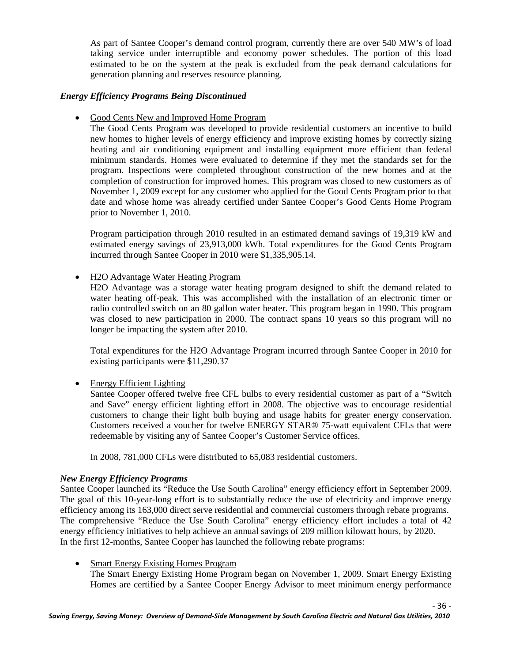As part of Santee Cooper's demand control program, currently there are over 540 MW's of load taking service under interruptible and economy power schedules. The portion of this load estimated to be on the system at the peak is excluded from the peak demand calculations for generation planning and reserves resource planning.

#### *Energy Efficiency Programs Being Discontinued*

• Good Cents New and Improved Home Program

The Good Cents Program was developed to provide residential customers an incentive to build new homes to higher levels of energy efficiency and improve existing homes by correctly sizing heating and air conditioning equipment and installing equipment more efficient than federal minimum standards. Homes were evaluated to determine if they met the standards set for the program. Inspections were completed throughout construction of the new homes and at the completion of construction for improved homes. This program was closed to new customers as of November 1, 2009 except for any customer who applied for the Good Cents Program prior to that date and whose home was already certified under Santee Cooper's Good Cents Home Program prior to November 1, 2010.

Program participation through 2010 resulted in an estimated demand savings of 19,319 kW and estimated energy savings of 23,913,000 kWh. Total expenditures for the Good Cents Program incurred through Santee Cooper in 2010 were \$1,335,905.14.

#### • H2O Advantage Water Heating Program

H2O Advantage was a storage water heating program designed to shift the demand related to water heating off-peak. This was accomplished with the installation of an electronic timer or radio controlled switch on an 80 gallon water heater. This program began in 1990. This program was closed to new participation in 2000. The contract spans 10 years so this program will no longer be impacting the system after 2010.

Total expenditures for the H2O Advantage Program incurred through Santee Cooper in 2010 for existing participants were \$11,290.37

• Energy Efficient Lighting

Santee Cooper offered twelve free CFL bulbs to every residential customer as part of a "Switch and Save" energy efficient lighting effort in 2008. The objective was to encourage residential customers to change their light bulb buying and usage habits for greater energy conservation. Customers received a voucher for twelve ENERGY STAR® 75-watt equivalent CFLs that were redeemable by visiting any of Santee Cooper's Customer Service offices.

In 2008, 781,000 CFLs were distributed to 65,083 residential customers.

#### *New Energy Efficiency Programs*

Santee Cooper launched its "Reduce the Use South Carolina" energy efficiency effort in September 2009. The goal of this 10-year-long effort is to substantially reduce the use of electricity and improve energy efficiency among its 163,000 direct serve residential and commercial customers through rebate programs. The comprehensive "Reduce the Use South Carolina" energy efficiency effort includes a total of 42 energy efficiency initiatives to help achieve an annual savings of 209 million kilowatt hours, by 2020. In the first 12-months, Santee Cooper has launched the following rebate programs:

• Smart Energy Existing Homes Program The Smart Energy Existing Home Program began on November 1, 2009. Smart Energy Existing Homes are certified by a Santee Cooper Energy Advisor to meet minimum energy performance

- 36 -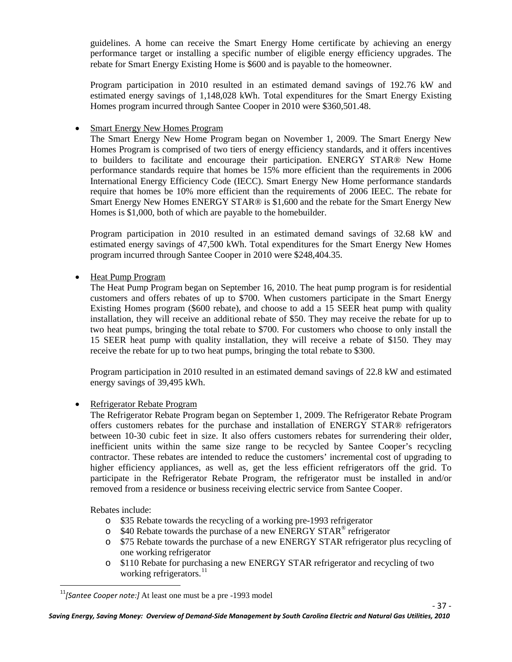guidelines. A home can receive the Smart Energy Home certificate by achieving an energy performance target or installing a specific number of eligible energy efficiency upgrades. The rebate for Smart Energy Existing Home is \$600 and is payable to the homeowner.

Program participation in 2010 resulted in an estimated demand savings of 192.76 kW and estimated energy savings of 1,148,028 kWh. Total expenditures for the Smart Energy Existing Homes program incurred through Santee Cooper in 2010 were \$360,501.48.

#### **Smart Energy New Homes Program**

The Smart Energy New Home Program began on November 1, 2009. The Smart Energy New Homes Program is comprised of two tiers of energy efficiency standards, and it offers incentives to builders to facilitate and encourage their participation. ENERGY STAR® New Home performance standards require that homes be 15% more efficient than the requirements in 2006 International Energy Efficiency Code (IECC). Smart Energy New Home performance standards require that homes be 10% more efficient than the requirements of 2006 IEEC. The rebate for Smart Energy New Homes ENERGY STAR® is \$1,600 and the rebate for the Smart Energy New Homes is \$1,000, both of which are payable to the homebuilder.

Program participation in 2010 resulted in an estimated demand savings of 32.68 kW and estimated energy savings of 47,500 kWh. Total expenditures for the Smart Energy New Homes program incurred through Santee Cooper in 2010 were \$248,404.35.

#### • Heat Pump Program

The Heat Pump Program began on September 16, 2010. The heat pump program is for residential customers and offers rebates of up to \$700. When customers participate in the Smart Energy Existing Homes program (\$600 rebate), and choose to add a 15 SEER heat pump with quality installation, they will receive an additional rebate of \$50. They may receive the rebate for up to two heat pumps, bringing the total rebate to \$700. For customers who choose to only install the 15 SEER heat pump with quality installation, they will receive a rebate of \$150. They may receive the rebate for up to two heat pumps, bringing the total rebate to \$300.

Program participation in 2010 resulted in an estimated demand savings of 22.8 kW and estimated energy savings of 39,495 kWh.

#### • Refrigerator Rebate Program

The Refrigerator Rebate Program began on September 1, 2009. The Refrigerator Rebate Program offers customers rebates for the purchase and installation of ENERGY STAR® refrigerators between 10-30 cubic feet in size. It also offers customers rebates for surrendering their older, inefficient units within the same size range to be recycled by Santee Cooper's recycling contractor. These rebates are intended to reduce the customers' incremental cost of upgrading to higher efficiency appliances, as well as, get the less efficient refrigerators off the grid. To participate in the Refrigerator Rebate Program, the refrigerator must be installed in and/or removed from a residence or business receiving electric service from Santee Cooper.

Rebates include:

- o \$35 Rebate towards the recycling of a working pre-1993 refrigerator
- $\degree$  \$40 Rebate towards the purchase of a new ENERGY STAR<sup>®</sup> refrigerator
- o \$75 Rebate towards the purchase of a new ENERGY STAR refrigerator plus recycling of one working refrigerator
- o \$110 Rebate for purchasing a new ENERGY STAR refrigerator and recycling of two working refrigerators.<sup>[11](#page-43-0)</sup>

<span id="page-43-0"></span><sup>&</sup>lt;sup>11</sup>[Santee Cooper note:] At least one must be a pre -1993 model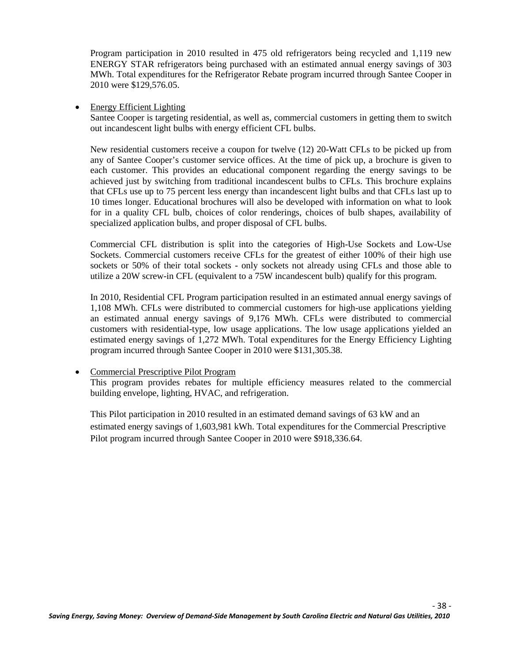Program participation in 2010 resulted in 475 old refrigerators being recycled and 1,119 new ENERGY STAR refrigerators being purchased with an estimated annual energy savings of 303 MWh. Total expenditures for the Refrigerator Rebate program incurred through Santee Cooper in 2010 were \$129,576.05.

• Energy Efficient Lighting

Santee Cooper is targeting residential, as well as, commercial customers in getting them to switch out incandescent light bulbs with energy efficient CFL bulbs.

New residential customers receive a coupon for twelve (12) 20-Watt CFLs to be picked up from any of Santee Cooper's customer service offices. At the time of pick up, a brochure is given to each customer. This provides an educational component regarding the energy savings to be achieved just by switching from traditional incandescent bulbs to CFLs. This brochure explains that CFLs use up to 75 percent less energy than incandescent light bulbs and that CFLs last up to 10 times longer. Educational brochures will also be developed with information on what to look for in a quality CFL bulb, choices of color renderings, choices of bulb shapes, availability of specialized application bulbs, and proper disposal of CFL bulbs.

Commercial CFL distribution is split into the categories of High-Use Sockets and Low-Use Sockets. Commercial customers receive CFLs for the greatest of either 100% of their high use sockets or 50% of their total sockets - only sockets not already using CFLs and those able to utilize a 20W screw-in CFL (equivalent to a 75W incandescent bulb) qualify for this program.

In 2010, Residential CFL Program participation resulted in an estimated annual energy savings of 1,108 MWh. CFLs were distributed to commercial customers for high-use applications yielding an estimated annual energy savings of 9,176 MWh. CFLs were distributed to commercial customers with residential-type, low usage applications. The low usage applications yielded an estimated energy savings of 1,272 MWh. Total expenditures for the Energy Efficiency Lighting program incurred through Santee Cooper in 2010 were \$131,305.38.

• Commercial Prescriptive Pilot Program

This program provides rebates for multiple efficiency measures related to the commercial building envelope, lighting, HVAC, and refrigeration.

This Pilot participation in 2010 resulted in an estimated demand savings of 63 kW and an estimated energy savings of 1,603,981 kWh. Total expenditures for the Commercial Prescriptive Pilot program incurred through Santee Cooper in 2010 were \$918,336.64.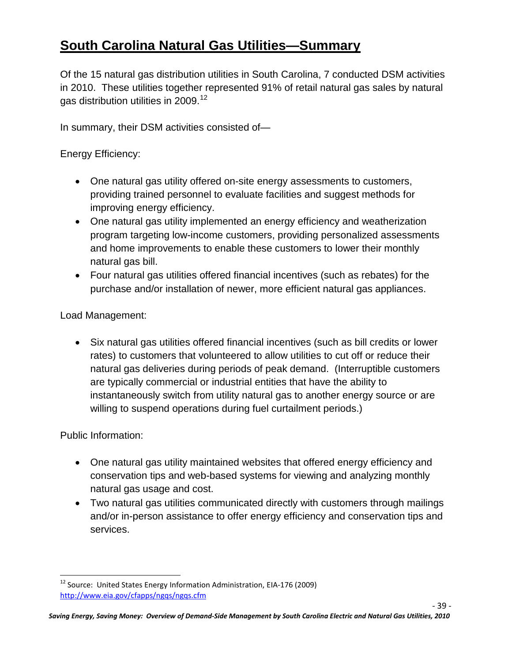# **South Carolina Natural Gas Utilities—Summary**

Of the 15 natural gas distribution utilities in South Carolina, 7 conducted DSM activities in 2010. These utilities together represented 91% of retail natural gas sales by natural gas distribution utilities in 2009.<sup>[12](#page-45-0)</sup>

In summary, their DSM activities consisted of—

Energy Efficiency:

- One natural gas utility offered on-site energy assessments to customers, providing trained personnel to evaluate facilities and suggest methods for improving energy efficiency.
- One natural gas utility implemented an energy efficiency and weatherization program targeting low-income customers, providing personalized assessments and home improvements to enable these customers to lower their monthly natural gas bill.
- Four natural gas utilities offered financial incentives (such as rebates) for the purchase and/or installation of newer, more efficient natural gas appliances.

Load Management:

• Six natural gas utilities offered financial incentives (such as bill credits or lower rates) to customers that volunteered to allow utilities to cut off or reduce their natural gas deliveries during periods of peak demand. (Interruptible customers are typically commercial or industrial entities that have the ability to instantaneously switch from utility natural gas to another energy source or are willing to suspend operations during fuel curtailment periods.)

Public Information:

- One natural gas utility maintained websites that offered energy efficiency and conservation tips and web-based systems for viewing and analyzing monthly natural gas usage and cost.
- Two natural gas utilities communicated directly with customers through mailings and/or in-person assistance to offer energy efficiency and conservation tips and services.

<span id="page-45-0"></span><sup>&</sup>lt;sup>12</sup> Source: United States Energy Information Administration, EIA-176 (2009) <http://www.eia.gov/cfapps/ngqs/ngqs.cfm>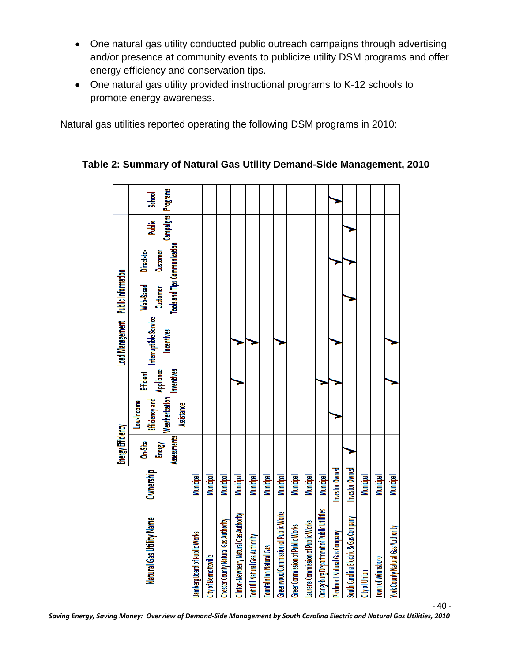- One natural gas utility conducted public outreach campaigns through advertising and/or presence at community events to publicize utility DSM programs and offer energy efficiency and conservation tips.
- One natural gas utility provided instructional programs to K-12 schools to promote energy awareness.

Natural gas utilities reported operating the following DSM programs in 2010:

|                                           |                  | <b>Energy Efficiency</b>         |                                                                     |                                                    | Load Management Public Information         |                       |                                                        |                                   |        |
|-------------------------------------------|------------------|----------------------------------|---------------------------------------------------------------------|----------------------------------------------------|--------------------------------------------|-----------------------|--------------------------------------------------------|-----------------------------------|--------|
| Natural Gas Utility Name                  | Ownership        | Assessments<br>On-Site<br>Energy | Weatherization<br>Efficiency and<br>Low-Income<br><b>Assistance</b> | Appliance<br><b>Efficient</b><br><b>Inventives</b> | Interruptible Service<br><b>Incentives</b> | Web-Based<br>Customer | Tools and Tips Communication<br>Direct-to-<br>Customer | Campaigns Programs<br>Public<br>P | School |
| Bamberg Board of Public Works             | Municipal        |                                  |                                                                     |                                                    |                                            |                       |                                                        |                                   |        |
| City of Bennettsville                     | Municipal        |                                  |                                                                     |                                                    |                                            |                       |                                                        |                                   |        |
| Chester County Natural Gas Authority      | Municipal        |                                  |                                                                     |                                                    |                                            |                       |                                                        |                                   |        |
| Clinton-Newberry Natural Gas Authority    | Municipal        |                                  |                                                                     |                                                    |                                            |                       |                                                        |                                   |        |
| Fort Hill Natural Gas Authority           | Municipal        |                                  |                                                                     |                                                    |                                            |                       |                                                        |                                   |        |
| Fountain Inn Natural Gas                  | Municipal        |                                  |                                                                     |                                                    |                                            |                       |                                                        |                                   |        |
| Greenwood Commission of Public Works      | <b>Municipal</b> |                                  |                                                                     |                                                    |                                            |                       |                                                        |                                   |        |
| Greer Commission of Public Works          | Municipal        |                                  |                                                                     |                                                    |                                            |                       |                                                        |                                   |        |
| Laurens Commission of Public Works        | Municipal        |                                  |                                                                     |                                                    |                                            |                       |                                                        |                                   |        |
| Orangeburg Department of Public Utilities | Municipal        |                                  |                                                                     |                                                    |                                            |                       |                                                        |                                   |        |
| Piedmont Natural Gas Company              | Investor-Owned   |                                  |                                                                     |                                                    |                                            |                       |                                                        |                                   |        |
| South Carolina Electric & Gas Company     | Investor-Owned   |                                  |                                                                     |                                                    |                                            |                       |                                                        |                                   |        |
| City of Union                             | Municipal        |                                  |                                                                     |                                                    |                                            |                       |                                                        |                                   |        |
| Town of Winnsboro                         | <b>Municipal</b> |                                  |                                                                     |                                                    |                                            |                       |                                                        |                                   |        |
| York County Natural Gas Authority         | Municipal        |                                  |                                                                     |                                                    |                                            |                       |                                                        |                                   |        |

#### **Table 2: Summary of Natural Gas Utility Demand-Side Management, 2010**

*Saving Energy, Saving Money: Overview of Demand-Side Management by South Carolina Electric and Natural Gas Utilities, 2010*

<sup>-</sup> 40 -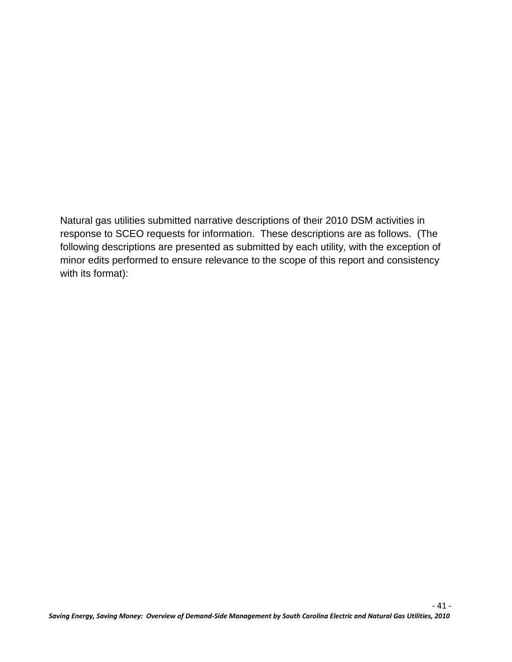Natural gas utilities submitted narrative descriptions of their 2010 DSM activities in response to SCEO requests for information. These descriptions are as follows. (The following descriptions are presented as submitted by each utility, with the exception of minor edits performed to ensure relevance to the scope of this report and consistency with its format):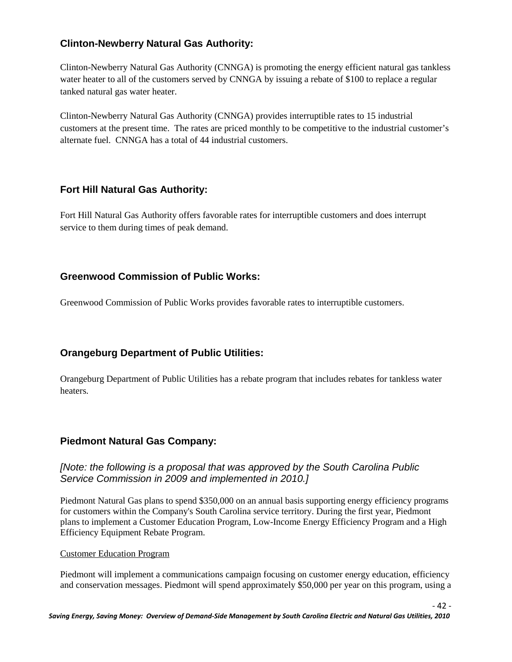#### **Clinton-Newberry Natural Gas Authority:**

Clinton-Newberry Natural Gas Authority (CNNGA) is promoting the energy efficient natural gas tankless water heater to all of the customers served by CNNGA by issuing a rebate of \$100 to replace a regular tanked natural gas water heater.

Clinton-Newberry Natural Gas Authority (CNNGA) provides interruptible rates to 15 industrial customers at the present time. The rates are priced monthly to be competitive to the industrial customer's alternate fuel. CNNGA has a total of 44 industrial customers.

#### **Fort Hill Natural Gas Authority:**

Fort Hill Natural Gas Authority offers favorable rates for interruptible customers and does interrupt service to them during times of peak demand.

#### **Greenwood Commission of Public Works:**

Greenwood Commission of Public Works provides favorable rates to interruptible customers.

#### **Orangeburg Department of Public Utilities:**

Orangeburg Department of Public Utilities has a rebate program that includes rebates for tankless water heaters.

#### **Piedmont Natural Gas Company:**

#### *[Note: the following is a proposal that was approved by the South Carolina Public Service Commission in 2009 and implemented in 2010.]*

Piedmont Natural Gas plans to spend \$350,000 on an annual basis supporting energy efficiency programs for customers within the Company's South Carolina service territory. During the first year, Piedmont plans to implement a Customer Education Program, Low-Income Energy Efficiency Program and a High Efficiency Equipment Rebate Program.

#### Customer Education Program

Piedmont will implement a communications campaign focusing on customer energy education, efficiency and conservation messages. Piedmont will spend approximately \$50,000 per year on this program, using a

- 42 -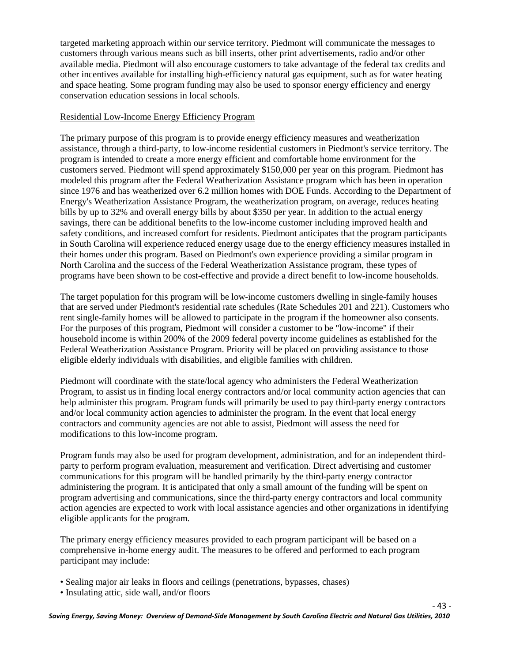targeted marketing approach within our service territory. Piedmont will communicate the messages to customers through various means such as bill inserts, other print advertisements, radio and/or other available media. Piedmont will also encourage customers to take advantage of the federal tax credits and other incentives available for installing high-efficiency natural gas equipment, such as for water heating and space heating. Some program funding may also be used to sponsor energy efficiency and energy conservation education sessions in local schools.

#### Residential Low-Income Energy Efficiency Program

The primary purpose of this program is to provide energy efficiency measures and weatherization assistance, through a third-party, to low-income residential customers in Piedmont's service territory. The program is intended to create a more energy efficient and comfortable home environment for the customers served. Piedmont will spend approximately \$150,000 per year on this program. Piedmont has modeled this program after the Federal Weatherization Assistance program which has been in operation since 1976 and has weatherized over 6.2 million homes with DOE Funds. According to the Department of Energy's Weatherization Assistance Program, the weatherization program, on average, reduces heating bills by up to 32% and overall energy bills by about \$350 per year. In addition to the actual energy savings, there can be additional benefits to the low-income customer including improved health and safety conditions, and increased comfort for residents. Piedmont anticipates that the program participants in South Carolina will experience reduced energy usage due to the energy efficiency measures installed in their homes under this program. Based on Piedmont's own experience providing a similar program in North Carolina and the success of the Federal Weatherization Assistance program, these types of programs have been shown to be cost-effective and provide a direct benefit to low-income households.

The target population for this program will be low-income customers dwelling in single-family houses that are served under Piedmont's residential rate schedules (Rate Schedules 201 and 221). Customers who rent single-family homes will be allowed to participate in the program if the homeowner also consents. For the purposes of this program, Piedmont will consider a customer to be "low-income" if their household income is within 200% of the 2009 federal poverty income guidelines as established for the Federal Weatherization Assistance Program. Priority will be placed on providing assistance to those eligible elderly individuals with disabilities, and eligible families with children.

Piedmont will coordinate with the state/local agency who administers the Federal Weatherization Program, to assist us in finding local energy contractors and/or local community action agencies that can help administer this program. Program funds will primarily be used to pay third-party energy contractors and/or local community action agencies to administer the program. In the event that local energy contractors and community agencies are not able to assist, Piedmont will assess the need for modifications to this low-income program.

Program funds may also be used for program development, administration, and for an independent thirdparty to perform program evaluation, measurement and verification. Direct advertising and customer communications for this program will be handled primarily by the third-party energy contractor administering the program. It is anticipated that only a small amount of the funding will be spent on program advertising and communications, since the third-party energy contractors and local community action agencies are expected to work with local assistance agencies and other organizations in identifying eligible applicants for the program.

The primary energy efficiency measures provided to each program participant will be based on a comprehensive in-home energy audit. The measures to be offered and performed to each program participant may include:

- Sealing major air leaks in floors and ceilings (penetrations, bypasses, chases)
- Insulating attic, side wall, and/or floors

- 43 -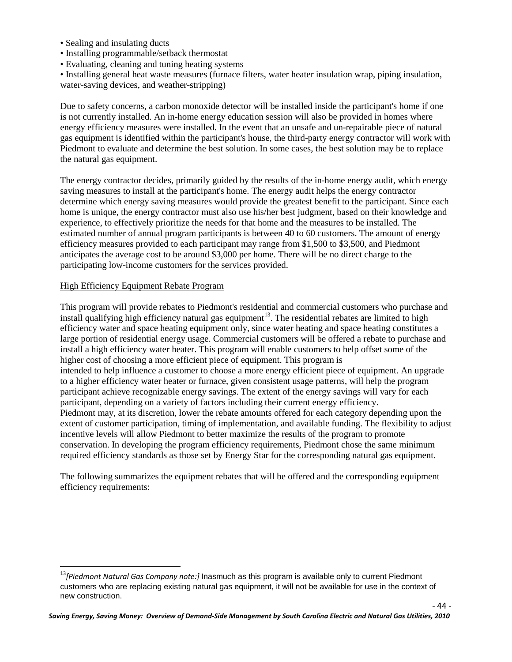- Sealing and insulating ducts
- Installing programmable/setback thermostat
- Evaluating, cleaning and tuning heating systems

• Installing general heat waste measures (furnace filters, water heater insulation wrap, piping insulation, water-saving devices, and weather-stripping)

Due to safety concerns, a carbon monoxide detector will be installed inside the participant's home if one is not currently installed. An in-home energy education session will also be provided in homes where energy efficiency measures were installed. In the event that an unsafe and un-repairable piece of natural gas equipment is identified within the participant's house, the third-party energy contractor will work with Piedmont to evaluate and determine the best solution. In some cases, the best solution may be to replace the natural gas equipment.

The energy contractor decides, primarily guided by the results of the in-home energy audit, which energy saving measures to install at the participant's home. The energy audit helps the energy contractor determine which energy saving measures would provide the greatest benefit to the participant. Since each home is unique, the energy contractor must also use his/her best judgment, based on their knowledge and experience, to effectively prioritize the needs for that home and the measures to be installed. The estimated number of annual program participants is between 40 to 60 customers. The amount of energy efficiency measures provided to each participant may range from \$1,500 to \$3,500, and Piedmont anticipates the average cost to be around \$3,000 per home. There will be no direct charge to the participating low-income customers for the services provided.

#### High Efficiency Equipment Rebate Program

This program will provide rebates to Piedmont's residential and commercial customers who purchase and install qualifying high efficiency natural gas equipment<sup>[13](#page-50-0)</sup>. The residential rebates are limited to high intended to help influence a customer to choose a more energy efficient piece of equipment. An upgrade to a higher efficiency water heater or furnace, given consistent usage patterns, will help the program participant achieve recognizable energy savings. The extent of the energy savings will vary for each participant, depending on a variety of factors including their current energy efficiency. efficiency water and space heating equipment only, since water heating and space heating constitutes a large portion of residential energy usage. Commercial customers will be offered a rebate to purchase and install a high efficiency water heater. This program will enable customers to help offset some of the higher cost of choosing a more efficient piece of equipment. This program is Piedmont may, at its discretion, lower the rebate amounts offered for each category depending upon the extent of customer participation, timing of implementation, and available funding. The flexibility to adjust incentive levels will allow Piedmont to better maximize the results of the program to promote conservation. In developing the program efficiency requirements, Piedmont chose the same minimum required efficiency standards as those set by Energy Star for the corresponding natural gas equipment.

The following summarizes the equipment rebates that will be offered and the corresponding equipment efficiency requirements:

<span id="page-50-0"></span> <sup>13</sup>*[Piedmont Natural Gas Company note:]* Inasmuch as this program is available only to current Piedmont customers who are replacing existing natural gas equipment, it will not be available for use in the context of new construction.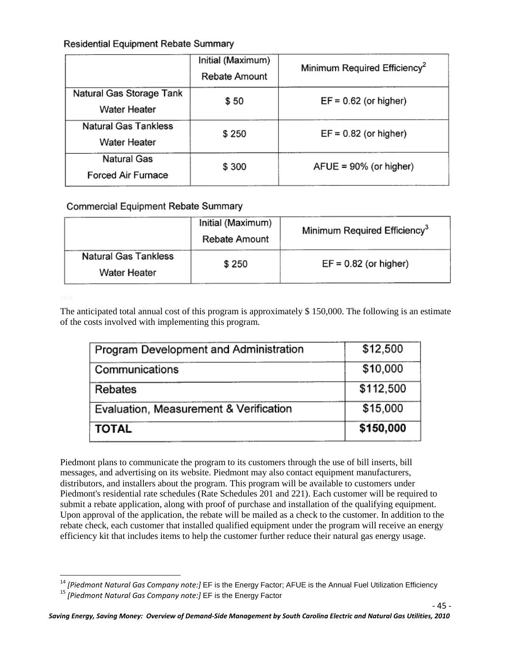#### **Residential Equipment Rebate Summary**

|                                                 | Initial (Maximum)<br>Rebate Amount | Minimum Required Efficiency <sup>2</sup> |
|-------------------------------------------------|------------------------------------|------------------------------------------|
| Natural Gas Storage Tank<br><b>Water Heater</b> | \$50                               | $EF = 0.62$ (or higher)                  |
| <b>Natural Gas Tankless</b><br>Water Heater     | \$250                              | $EF = 0.82$ (or higher)                  |
| <b>Natural Gas</b><br><b>Forced Air Furnace</b> | \$300                              | $A FUE = 90\%$ (or higher)               |

#### Commercial Equipment Rebate Summary

|                                             | Initial (Maximum)<br>Rebate Amount | Minimum Required Efficiency <sup>3</sup> |  |  |
|---------------------------------------------|------------------------------------|------------------------------------------|--|--|
| <b>Natural Gas Tankless</b><br>Water Heater | \$250                              | $EF = 0.82$ (or higher)                  |  |  |

The anticipated total annual cost of this program is approximately \$ 150,000. The following is an estimate of the costs involved with implementing this program.

| Program Development and Administration | \$12,500  |
|----------------------------------------|-----------|
| Communications                         | \$10,000  |
| Rebates                                | \$112,500 |
| Evaluation, Measurement & Verification | \$15,000  |
| <b>TOTAL</b>                           | \$150,000 |

Piedmont plans to communicate the program to its customers through the use of bill inserts, bill messages, and advertising on its website. Piedmont may also contact equipment manufacturers, distributors, and installers about the program. This program will be available to customers under Piedmont's residential rate schedules (Rate Schedules 201 and 221). Each customer will be required to submit a rebate application, along with proof of purchase and installation of the qualifying equipment. Upon approval of the application, the rebate will be mailed as a check to the customer. In addition to the rebate check, each customer that installed qualified equipment under the program will receive an energy efficiency kit that includes items to help the customer further reduce their natural gas energy usage.

- 45 -

<span id="page-51-0"></span><sup>&</sup>lt;sup>14</sup> *[Piedmont Natural Gas Company note:]* EF is the Energy Factor; AFUE is the Annual Fuel Utilization Efficiency 15<br><sup>15</sup> *[Piedmont Natural Gas Company note:]* EF is the Energy Factor

<span id="page-51-1"></span>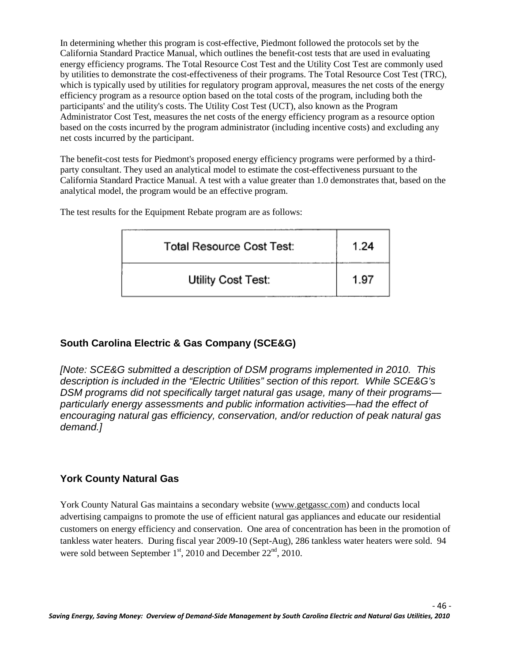In determining whether this program is cost-effective, Piedmont followed the protocols set by the California Standard Practice Manual, which outlines the benefit-cost tests that are used in evaluating energy efficiency programs. The Total Resource Cost Test and the Utility Cost Test are commonly used by utilities to demonstrate the cost-effectiveness of their programs. The Total Resource Cost Test (TRC), which is typically used by utilities for regulatory program approval, measures the net costs of the energy efficiency program as a resource option based on the total costs of the program, including both the participants' and the utility's costs. The Utility Cost Test (UCT), also known as the Program Administrator Cost Test, measures the net costs of the energy efficiency program as a resource option based on the costs incurred by the program administrator (including incentive costs) and excluding any net costs incurred by the participant.

The benefit-cost tests for Piedmont's proposed energy efficiency programs were performed by a thirdparty consultant. They used an analytical model to estimate the cost-effectiveness pursuant to the California Standard Practice Manual. A test with a value greater than 1.0 demonstrates that, based on the analytical model, the program would be an effective program.

The test results for the Equipment Rebate program are as follows:

| <b>Total Resource Cost Test:</b> | 1.24 |
|----------------------------------|------|
| Utility Cost Test:               | 1.97 |

#### **South Carolina Electric & Gas Company (SCE&G)**

*[Note: SCE&G submitted a description of DSM programs implemented in 2010. This description is included in the "Electric Utilities" section of this report. While SCE&G's DSM programs did not specifically target natural gas usage, many of their programs particularly energy assessments and public information activities—had the effect of encouraging natural gas efficiency, conservation, and/or reduction of peak natural gas demand.]*

#### **York County Natural Gas**

York County Natural Gas maintains a secondary website [\(www.getgassc.com\)](http://www.getgassc.com/) and conducts local advertising campaigns to promote the use of efficient natural gas appliances and educate our residential customers on energy efficiency and conservation. One area of concentration has been in the promotion of tankless water heaters. During fiscal year 2009-10 (Sept-Aug), 286 tankless water heaters were sold. 94 were sold between September  $1<sup>st</sup>$ , 2010 and December  $22<sup>nd</sup>$ , 2010.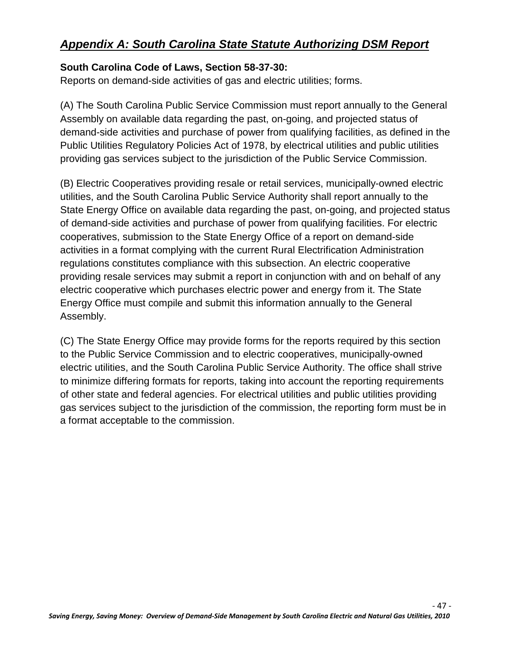# *Appendix A: South Carolina State Statute Authorizing DSM Report*

#### **South Carolina Code of Laws, Section 58-37-30:**

Reports on demand-side activities of gas and electric utilities; forms.

(A) The South Carolina Public Service Commission must report annually to the General Assembly on available data regarding the past, on-going, and projected status of demand-side activities and purchase of power from qualifying facilities, as defined in the Public Utilities Regulatory Policies Act of 1978, by electrical utilities and public utilities providing gas services subject to the jurisdiction of the Public Service Commission.

(B) Electric Cooperatives providing resale or retail services, municipally-owned electric utilities, and the South Carolina Public Service Authority shall report annually to the State Energy Office on available data regarding the past, on-going, and projected status of demand-side activities and purchase of power from qualifying facilities. For electric cooperatives, submission to the State Energy Office of a report on demand-side activities in a format complying with the current Rural Electrification Administration regulations constitutes compliance with this subsection. An electric cooperative providing resale services may submit a report in conjunction with and on behalf of any electric cooperative which purchases electric power and energy from it. The State Energy Office must compile and submit this information annually to the General Assembly.

(C) The State Energy Office may provide forms for the reports required by this section to the Public Service Commission and to electric cooperatives, municipally-owned electric utilities, and the South Carolina Public Service Authority. The office shall strive to minimize differing formats for reports, taking into account the reporting requirements of other state and federal agencies. For electrical utilities and public utilities providing gas services subject to the jurisdiction of the commission, the reporting form must be in a format acceptable to the commission.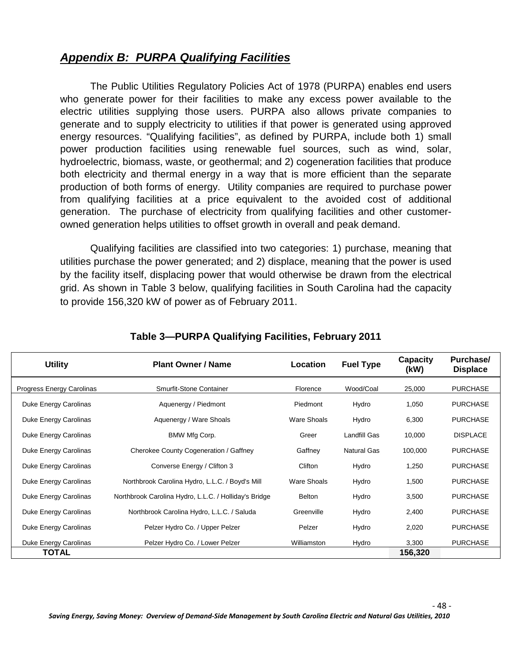## *Appendix B: PURPA Qualifying Facilities*

The Public Utilities Regulatory Policies Act of 1978 (PURPA) enables end users who generate power for their facilities to make any excess power available to the electric utilities supplying those users. PURPA also allows private companies to generate and to supply electricity to utilities if that power is generated using approved energy resources. "Qualifying facilities", as defined by PURPA, include both 1) small power production facilities using renewable fuel sources, such as wind, solar, hydroelectric, biomass, waste, or geothermal; and 2) cogeneration facilities that produce both electricity and thermal energy in a way that is more efficient than the separate production of both forms of energy. Utility companies are required to purchase power from qualifying facilities at a price equivalent to the avoided cost of additional generation. The purchase of electricity from qualifying facilities and other customerowned generation helps utilities to offset growth in overall and peak demand.

Qualifying facilities are classified into two categories: 1) purchase, meaning that utilities purchase the power generated; and 2) displace, meaning that the power is used by the facility itself, displacing power that would otherwise be drawn from the electrical grid. As shown in Table 3 below, qualifying facilities in South Carolina had the capacity to provide 156,320 kW of power as of February 2011.

| <b>Utility</b>                   | <b>Plant Owner / Name</b>                             | Location      | <b>Fuel Type</b>   | Capacity<br>(kW) | Purchase/<br><b>Displace</b> |
|----------------------------------|-------------------------------------------------------|---------------|--------------------|------------------|------------------------------|
| <b>Progress Energy Carolinas</b> | Smurfit-Stone Container                               | Florence      | Wood/Coal          | 25,000           | <b>PURCHASE</b>              |
| Duke Energy Carolinas            | Aquenergy / Piedmont                                  | Piedmont      | Hydro              | 1,050            | <b>PURCHASE</b>              |
| Duke Energy Carolinas            | Aquenergy / Ware Shoals                               | Ware Shoals   | Hydro              | 6,300            | <b>PURCHASE</b>              |
| Duke Energy Carolinas            | BMW Mfg Corp.                                         | Greer         | Landfill Gas       | 10,000           | <b>DISPLACE</b>              |
| Duke Energy Carolinas            | Cherokee County Cogeneration / Gaffney                | Gaffney       | <b>Natural Gas</b> | 100,000          | <b>PURCHASE</b>              |
| Duke Energy Carolinas            | Converse Energy / Clifton 3                           | Clifton       | Hydro              | 1,250            | <b>PURCHASE</b>              |
| Duke Energy Carolinas            | Northbrook Carolina Hydro, L.L.C. / Boyd's Mill       | Ware Shoals   | Hydro              | 1,500            | <b>PURCHASE</b>              |
| Duke Energy Carolinas            | Northbrook Carolina Hydro, L.L.C. / Holliday's Bridge | <b>Belton</b> | Hydro              | 3,500            | <b>PURCHASE</b>              |
| Duke Energy Carolinas            | Northbrook Carolina Hydro, L.L.C. / Saluda            | Greenville    | Hydro              | 2,400            | <b>PURCHASE</b>              |
| Duke Energy Carolinas            | Pelzer Hydro Co. / Upper Pelzer                       | Pelzer        | Hydro              | 2,020            | <b>PURCHASE</b>              |
| Duke Energy Carolinas            | Pelzer Hydro Co. / Lower Pelzer                       | Williamston   | Hydro              | 3,300            | <b>PURCHASE</b>              |
| TOTAL                            |                                                       |               |                    | 156,320          |                              |

#### **Table 3—PURPA Qualifying Facilities, February 2011**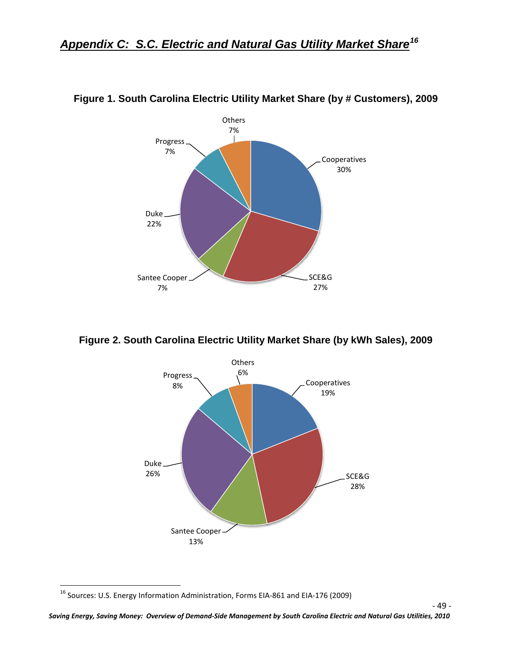

#### **Figure 1. South Carolina Electric Utility Market Share (by # Customers), 2009**

**Figure 2. South Carolina Electric Utility Market Share (by kWh Sales), 2009**



<span id="page-55-0"></span> <sup>16</sup> Sources: U.S. Energy Information Administration, Forms EIA-861 and EIA-176 (2009)

- 49 -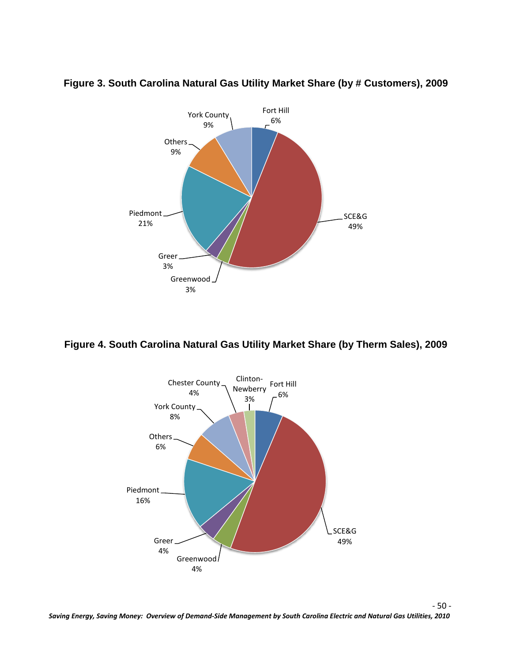

**Figure 3. South Carolina Natural Gas Utility Market Share (by # Customers), 2009**

#### **Figure 4. South Carolina Natural Gas Utility Market Share (by Therm Sales), 2009**